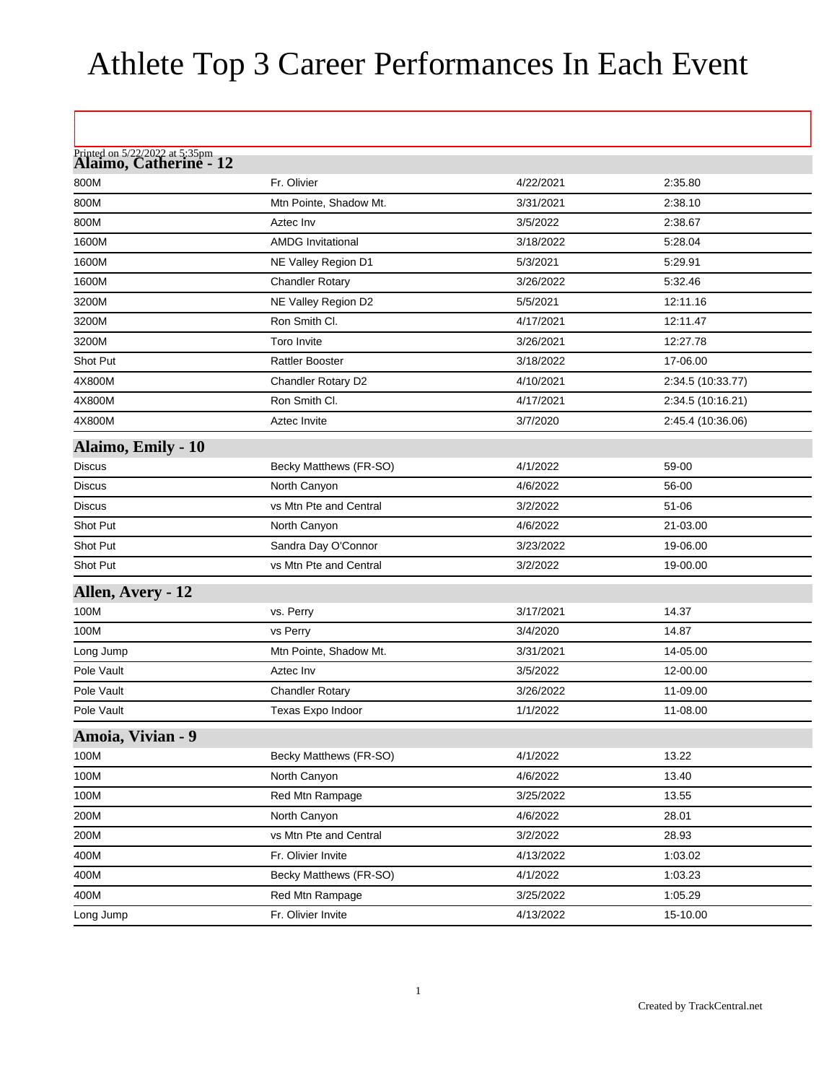## Athlete Top 3 Career Performances In Each Event

| Printed on 5/22/2022 at 5:35pm<br><b>Alaimo, Catherine - 12</b> |                          |           |                   |
|-----------------------------------------------------------------|--------------------------|-----------|-------------------|
| 800M                                                            | Fr. Olivier              | 4/22/2021 | 2:35.80           |
| 800M                                                            | Mtn Pointe, Shadow Mt.   | 3/31/2021 | 2:38.10           |
| 800M                                                            | Aztec Inv                | 3/5/2022  | 2:38.67           |
| 1600M                                                           | <b>AMDG Invitational</b> | 3/18/2022 | 5:28.04           |
| 1600M                                                           | NE Valley Region D1      | 5/3/2021  | 5:29.91           |
| 1600M                                                           | <b>Chandler Rotary</b>   | 3/26/2022 | 5:32.46           |
| 3200M                                                           | NE Valley Region D2      | 5/5/2021  | 12:11.16          |
| 3200M                                                           | Ron Smith CI.            | 4/17/2021 | 12:11.47          |
| 3200M                                                           | <b>Toro Invite</b>       | 3/26/2021 | 12:27.78          |
| Shot Put                                                        | <b>Rattler Booster</b>   | 3/18/2022 | 17-06.00          |
| 4X800M                                                          | Chandler Rotary D2       | 4/10/2021 | 2:34.5 (10:33.77) |
| 4X800M                                                          | Ron Smith Cl.            | 4/17/2021 | 2:34.5 (10:16.21) |
| 4X800M                                                          | <b>Aztec Invite</b>      | 3/7/2020  | 2:45.4 (10:36.06) |
| Alaimo, Emily - 10                                              |                          |           |                   |
| <b>Discus</b>                                                   | Becky Matthews (FR-SO)   | 4/1/2022  | 59-00             |
| <b>Discus</b>                                                   | North Canyon             | 4/6/2022  | 56-00             |
| <b>Discus</b>                                                   | vs Mtn Pte and Central   | 3/2/2022  | $51 - 06$         |
| Shot Put                                                        | North Canyon             | 4/6/2022  | 21-03.00          |
| Shot Put                                                        | Sandra Day O'Connor      | 3/23/2022 | 19-06.00          |
| Shot Put                                                        | vs Mtn Pte and Central   | 3/2/2022  | 19-00.00          |
| Allen, Avery - 12                                               |                          |           |                   |
| 100M                                                            | vs. Perry                | 3/17/2021 | 14.37             |
| 100M                                                            | vs Perry                 | 3/4/2020  | 14.87             |
| Long Jump                                                       | Mtn Pointe, Shadow Mt.   | 3/31/2021 | 14-05.00          |
| Pole Vault                                                      | Aztec Inv                | 3/5/2022  | 12-00.00          |
| Pole Vault                                                      | <b>Chandler Rotary</b>   | 3/26/2022 | 11-09.00          |
| Pole Vault                                                      | Texas Expo Indoor        | 1/1/2022  | 11-08.00          |
| Amoia, Vivian - 9                                               |                          |           |                   |
| 100M                                                            | Becky Matthews (FR-SO)   | 4/1/2022  | 13.22             |
| 100M                                                            | North Canyon             | 4/6/2022  | 13.40             |
| 100M                                                            | Red Mtn Rampage          | 3/25/2022 | 13.55             |
| 200M                                                            | North Canyon             | 4/6/2022  | 28.01             |
| 200M                                                            | vs Mtn Pte and Central   | 3/2/2022  | 28.93             |
| 400M                                                            | Fr. Olivier Invite       | 4/13/2022 | 1:03.02           |
| 400M                                                            | Becky Matthews (FR-SO)   | 4/1/2022  | 1:03.23           |
| 400M                                                            | Red Mtn Rampage          | 3/25/2022 | 1:05.29           |
| Long Jump                                                       | Fr. Olivier Invite       | 4/13/2022 | 15-10.00          |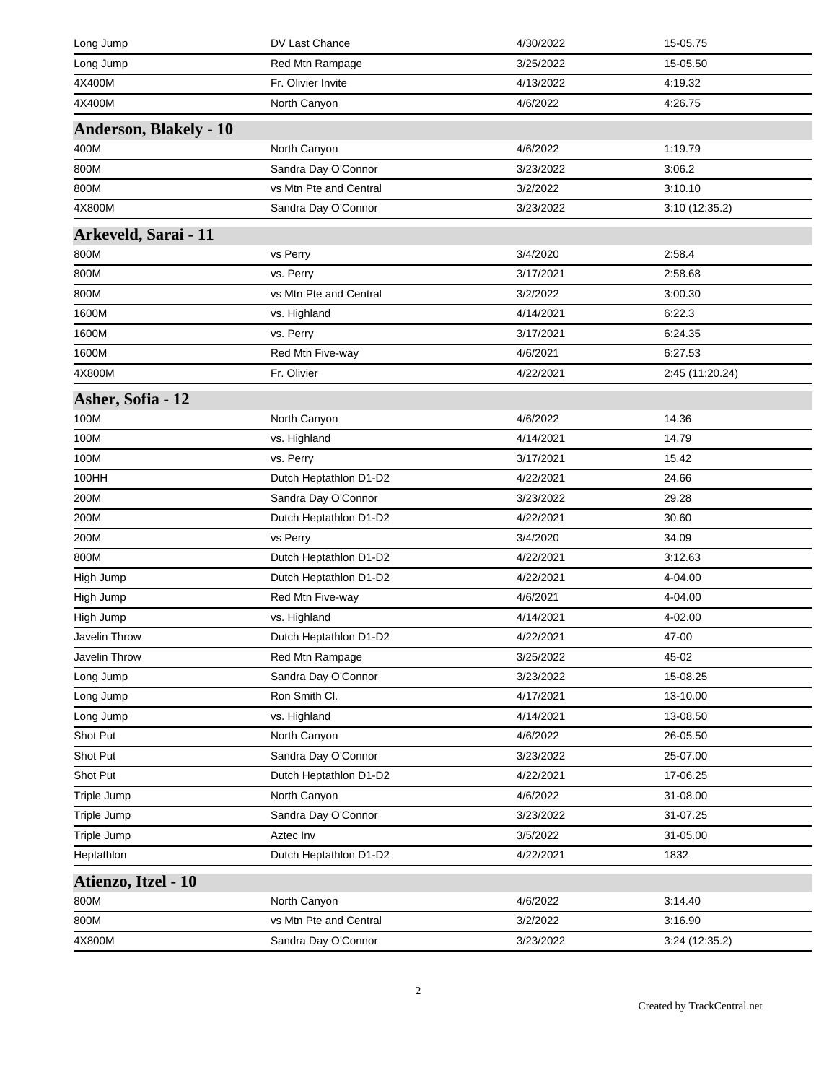| Long Jump                     | DV Last Chance         | 4/30/2022 | 15-05.75        |
|-------------------------------|------------------------|-----------|-----------------|
| Long Jump                     | Red Mtn Rampage        | 3/25/2022 | 15-05.50        |
| 4X400M                        | Fr. Olivier Invite     | 4/13/2022 | 4:19.32         |
| 4X400M                        | North Canyon           | 4/6/2022  | 4:26.75         |
| <b>Anderson, Blakely - 10</b> |                        |           |                 |
| 400M                          | North Canyon           | 4/6/2022  | 1:19.79         |
| 800M                          | Sandra Day O'Connor    | 3/23/2022 | 3:06.2          |
| 800M                          | vs Mtn Pte and Central | 3/2/2022  | 3:10.10         |
| 4X800M                        | Sandra Day O'Connor    | 3/23/2022 | 3:10 (12:35.2)  |
| Arkeveld, Sarai - 11          |                        |           |                 |
| 800M                          | vs Perry               | 3/4/2020  | 2:58.4          |
| 800M                          | vs. Perry              | 3/17/2021 | 2:58.68         |
| 800M                          | vs Mtn Pte and Central | 3/2/2022  | 3:00.30         |
| 1600M                         | vs. Highland           | 4/14/2021 | 6:22.3          |
| 1600M                         | vs. Perry              | 3/17/2021 | 6:24.35         |
| 1600M                         | Red Mtn Five-way       | 4/6/2021  | 6:27.53         |
| 4X800M                        | Fr. Olivier            | 4/22/2021 | 2:45 (11:20.24) |
| Asher, Sofia - 12             |                        |           |                 |
| 100M                          | North Canyon           | 4/6/2022  | 14.36           |
| 100M                          | vs. Highland           | 4/14/2021 | 14.79           |
| 100M                          | vs. Perry              | 3/17/2021 | 15.42           |
| 100HH                         | Dutch Heptathlon D1-D2 | 4/22/2021 | 24.66           |
| 200M                          | Sandra Day O'Connor    | 3/23/2022 | 29.28           |
| 200M                          | Dutch Heptathlon D1-D2 | 4/22/2021 | 30.60           |
| 200M                          | vs Perry               | 3/4/2020  | 34.09           |
| 800M                          | Dutch Heptathlon D1-D2 | 4/22/2021 | 3:12.63         |
| High Jump                     | Dutch Heptathlon D1-D2 | 4/22/2021 | 4-04.00         |
| High Jump                     | Red Mtn Five-way       | 4/6/2021  | 4-04.00         |
| High Jump                     | vs. Highland           | 4/14/2021 | 4-02.00         |
| Javelin Throw                 | Dutch Heptathlon D1-D2 | 4/22/2021 | 47-00           |
| Javelin Throw                 | Red Mtn Rampage        | 3/25/2022 | 45-02           |
| Long Jump                     | Sandra Day O'Connor    | 3/23/2022 | 15-08.25        |
| Long Jump                     | Ron Smith Cl.          | 4/17/2021 | 13-10.00        |
| Long Jump                     | vs. Highland           | 4/14/2021 | 13-08.50        |
| Shot Put                      | North Canyon           | 4/6/2022  | 26-05.50        |
| Shot Put                      | Sandra Day O'Connor    | 3/23/2022 | 25-07.00        |
| Shot Put                      | Dutch Heptathlon D1-D2 | 4/22/2021 | 17-06.25        |
| Triple Jump                   | North Canyon           | 4/6/2022  | 31-08.00        |
| Triple Jump                   | Sandra Day O'Connor    | 3/23/2022 | 31-07.25        |
| Triple Jump                   | Aztec Inv              | 3/5/2022  | 31-05.00        |
| Heptathlon                    | Dutch Heptathlon D1-D2 | 4/22/2021 | 1832            |
| Atienzo, Itzel - 10           |                        |           |                 |
| 800M                          | North Canyon           | 4/6/2022  | 3:14.40         |
| 800M                          | vs Mtn Pte and Central | 3/2/2022  | 3:16.90         |
| 4X800M                        | Sandra Day O'Connor    | 3/23/2022 | 3:24 (12:35.2)  |
|                               |                        |           |                 |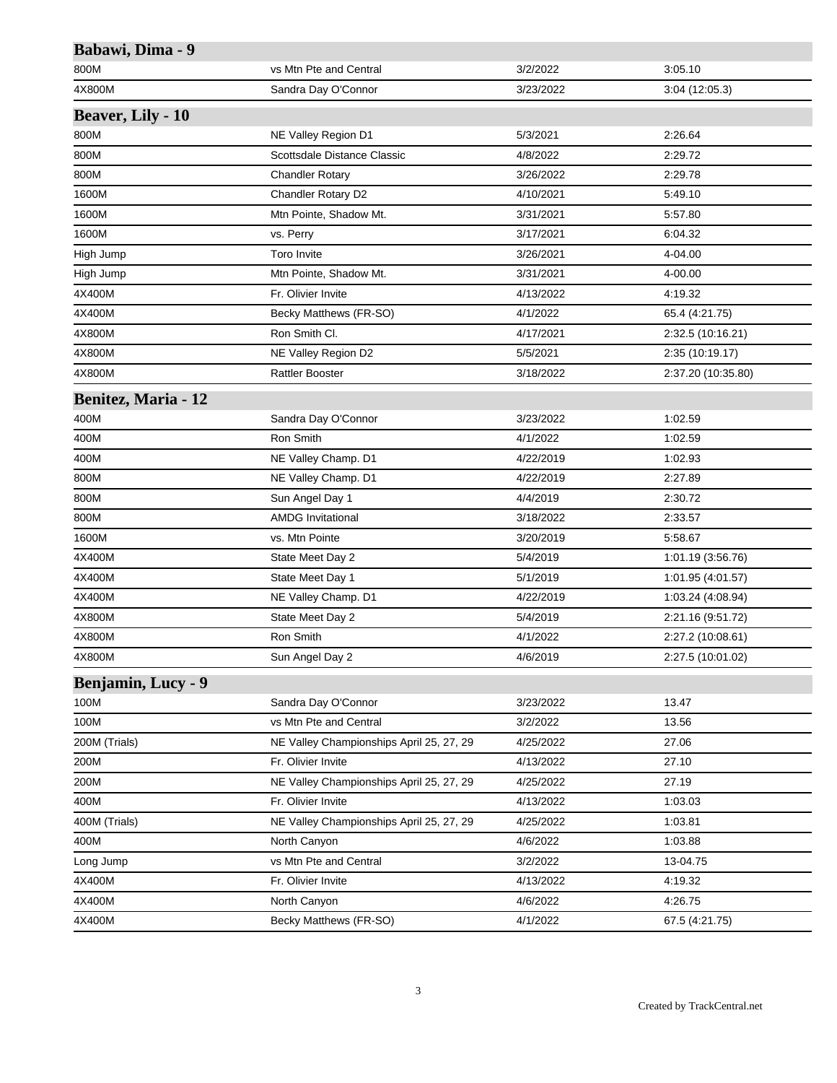| Babawi, Dima - 9           |                                          |           |                    |
|----------------------------|------------------------------------------|-----------|--------------------|
| 800M                       | vs Mtn Pte and Central                   | 3/2/2022  | 3:05.10            |
| 4X800M                     | Sandra Day O'Connor                      | 3/23/2022 | 3:04(12:05.3)      |
| <b>Beaver, Lily - 10</b>   |                                          |           |                    |
| 800M                       | NE Valley Region D1                      | 5/3/2021  | 2:26.64            |
| 800M                       | Scottsdale Distance Classic              | 4/8/2022  | 2:29.72            |
| 800M                       | <b>Chandler Rotary</b>                   | 3/26/2022 | 2:29.78            |
| 1600M                      | Chandler Rotary D2                       | 4/10/2021 | 5:49.10            |
| 1600M                      | Mtn Pointe, Shadow Mt.                   | 3/31/2021 | 5:57.80            |
| 1600M                      | vs. Perry                                | 3/17/2021 | 6:04.32            |
| High Jump                  | Toro Invite                              | 3/26/2021 | 4-04.00            |
| High Jump                  | Mtn Pointe, Shadow Mt.                   | 3/31/2021 | 4-00.00            |
| 4X400M                     | Fr. Olivier Invite                       | 4/13/2022 | 4:19.32            |
| 4X400M                     | Becky Matthews (FR-SO)                   | 4/1/2022  | 65.4 (4:21.75)     |
| 4X800M                     | Ron Smith Cl.                            | 4/17/2021 | 2:32.5 (10:16.21)  |
| 4X800M                     | NE Valley Region D2                      | 5/5/2021  | 2:35 (10:19.17)    |
| 4X800M                     | <b>Rattler Booster</b>                   | 3/18/2022 | 2:37.20 (10:35.80) |
| <b>Benitez, Maria - 12</b> |                                          |           |                    |
| 400M                       | Sandra Day O'Connor                      | 3/23/2022 | 1:02.59            |
| 400M                       | Ron Smith                                | 4/1/2022  | 1:02.59            |
| 400M                       | NE Valley Champ. D1                      | 4/22/2019 | 1:02.93            |
| 800M                       | NE Valley Champ. D1                      | 4/22/2019 | 2:27.89            |
| 800M                       | Sun Angel Day 1                          | 4/4/2019  | 2:30.72            |
| 800M                       | <b>AMDG Invitational</b>                 | 3/18/2022 | 2:33.57            |
| 1600M                      | vs. Mtn Pointe                           | 3/20/2019 | 5:58.67            |
| 4X400M                     | State Meet Day 2                         | 5/4/2019  | 1:01.19 (3:56.76)  |
| 4X400M                     | State Meet Day 1                         | 5/1/2019  | 1:01.95 (4:01.57)  |
| 4X400M                     | NE Valley Champ. D1                      | 4/22/2019 | 1:03.24 (4:08.94)  |
| 4X800M                     | State Meet Day 2                         | 5/4/2019  | 2:21.16 (9:51.72)  |
| 4X800M                     | Ron Smith                                | 4/1/2022  | 2:27.2 (10:08.61)  |
| 4X800M                     | Sun Angel Day 2                          | 4/6/2019  | 2:27.5 (10:01.02)  |
| Benjamin, Lucy - 9         |                                          |           |                    |
| 100M                       | Sandra Day O'Connor                      | 3/23/2022 | 13.47              |
| 100M                       | vs Mtn Pte and Central                   | 3/2/2022  | 13.56              |
| 200M (Trials)              | NE Valley Championships April 25, 27, 29 | 4/25/2022 | 27.06              |
| 200M                       | Fr. Olivier Invite                       | 4/13/2022 | 27.10              |
| 200M                       | NE Valley Championships April 25, 27, 29 | 4/25/2022 | 27.19              |
| 400M                       | Fr. Olivier Invite                       | 4/13/2022 | 1:03.03            |
| 400M (Trials)              | NE Valley Championships April 25, 27, 29 | 4/25/2022 | 1:03.81            |
| 400M                       | North Canyon                             | 4/6/2022  | 1:03.88            |
| Long Jump                  | vs Mtn Pte and Central                   | 3/2/2022  | 13-04.75           |
| 4X400M                     | Fr. Olivier Invite                       | 4/13/2022 | 4:19.32            |
| 4X400M                     | North Canyon                             | 4/6/2022  | 4:26.75            |
| 4X400M                     | Becky Matthews (FR-SO)                   | 4/1/2022  | 67.5 (4:21.75)     |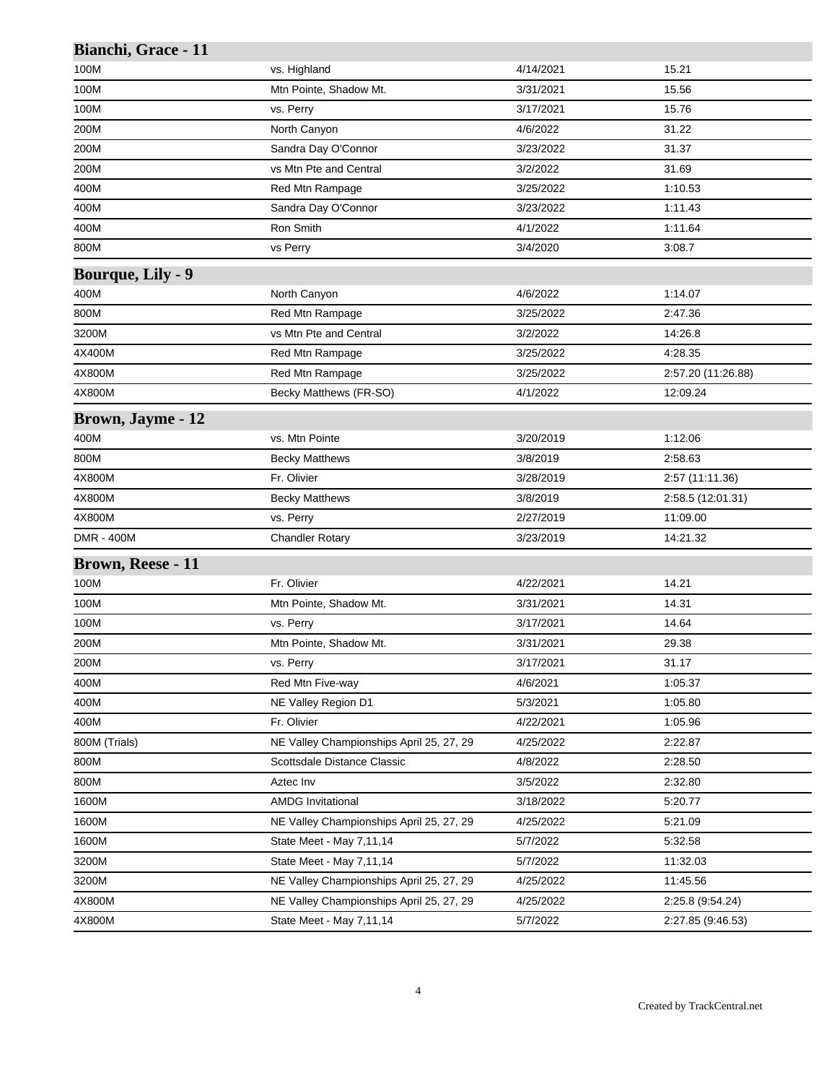| vs. Highland<br>4/14/2021<br>15.21<br>Mtn Pointe, Shadow Mt.<br>3/31/2021<br>15.56<br>15.76<br>vs. Perry<br>3/17/2021<br>North Canyon<br>4/6/2022<br>31.22<br>Sandra Day O'Connor<br>3/23/2022<br>31.37<br>vs Mtn Pte and Central<br>3/2/2022<br>31.69<br>Red Mtn Rampage<br>3/25/2022<br>1:10.53<br>Sandra Day O'Connor<br>3/23/2022<br>1:11.43<br>Ron Smith<br>1:11.64<br>4/1/2022<br>vs Perry<br>3/4/2020<br>3:08.7<br>North Canyon<br>4/6/2022<br>1:14.07<br>Red Mtn Rampage<br>3/25/2022<br>2:47.36<br>vs Mtn Pte and Central<br>3/2/2022<br>14:26.8<br>4:28.35<br>Red Mtn Rampage<br>3/25/2022<br>Red Mtn Rampage<br>3/25/2022<br>2:57.20 (11:26.88)<br>Becky Matthews (FR-SO)<br>4/1/2022<br>12:09.24<br>vs. Mtn Pointe<br>3/20/2019<br>1:12.06<br>3/8/2019<br>2:58.63<br><b>Becky Matthews</b><br>Fr. Olivier<br>3/28/2019<br>2:57 (11:11.36)<br><b>Becky Matthews</b><br>3/8/2019<br>2:58.5 (12:01.31)<br>vs. Perry<br>2/27/2019<br>11:09.00<br><b>Chandler Rotary</b><br>3/23/2019<br>14:21.32<br>Fr. Olivier<br>14.21<br>4/22/2021<br>14.31<br>Mtn Pointe, Shadow Mt.<br>3/31/2021<br>vs. Perry<br>3/17/2021<br>14.64<br>Mtn Pointe, Shadow Mt.<br>3/31/2021<br>29.38<br>31.17<br>vs. Perry<br>3/17/2021<br>1:05.37<br>Red Mtn Five-way<br>4/6/2021<br>NE Valley Region D1<br>5/3/2021<br>1:05.80<br>Fr. Olivier<br>4/22/2021<br>1:05.96<br>NE Valley Championships April 25, 27, 29<br>4/25/2022<br>2:22.87<br>Scottsdale Distance Classic<br>4/8/2022<br>2:28.50<br>Aztec Inv<br>3/5/2022<br>2:32.80<br><b>AMDG Invitational</b><br>3/18/2022<br>5.20.77<br>NE Valley Championships April 25, 27, 29<br>4/25/2022<br>5:21.09<br>State Meet - May 7,11,14<br>5/7/2022<br>5.32.58<br>State Meet - May 7,11,14<br>5/7/2022<br>11:32.03<br>NE Valley Championships April 25, 27, 29<br>4/25/2022<br>11:45.56<br>NE Valley Championships April 25, 27, 29<br>4/25/2022<br>2:25.8 (9:54.24)<br>State Meet - May 7,11,14<br>5/7/2022<br>2:27.85 (9:46.53) | Bianchi, Grace - 11      |  |  |
|-----------------------------------------------------------------------------------------------------------------------------------------------------------------------------------------------------------------------------------------------------------------------------------------------------------------------------------------------------------------------------------------------------------------------------------------------------------------------------------------------------------------------------------------------------------------------------------------------------------------------------------------------------------------------------------------------------------------------------------------------------------------------------------------------------------------------------------------------------------------------------------------------------------------------------------------------------------------------------------------------------------------------------------------------------------------------------------------------------------------------------------------------------------------------------------------------------------------------------------------------------------------------------------------------------------------------------------------------------------------------------------------------------------------------------------------------------------------------------------------------------------------------------------------------------------------------------------------------------------------------------------------------------------------------------------------------------------------------------------------------------------------------------------------------------------------------------------------------------------------------------------------------------------------------------------------------------------------|--------------------------|--|--|
|                                                                                                                                                                                                                                                                                                                                                                                                                                                                                                                                                                                                                                                                                                                                                                                                                                                                                                                                                                                                                                                                                                                                                                                                                                                                                                                                                                                                                                                                                                                                                                                                                                                                                                                                                                                                                                                                                                                                                                 | 100M                     |  |  |
|                                                                                                                                                                                                                                                                                                                                                                                                                                                                                                                                                                                                                                                                                                                                                                                                                                                                                                                                                                                                                                                                                                                                                                                                                                                                                                                                                                                                                                                                                                                                                                                                                                                                                                                                                                                                                                                                                                                                                                 | 100M                     |  |  |
|                                                                                                                                                                                                                                                                                                                                                                                                                                                                                                                                                                                                                                                                                                                                                                                                                                                                                                                                                                                                                                                                                                                                                                                                                                                                                                                                                                                                                                                                                                                                                                                                                                                                                                                                                                                                                                                                                                                                                                 | 100M                     |  |  |
|                                                                                                                                                                                                                                                                                                                                                                                                                                                                                                                                                                                                                                                                                                                                                                                                                                                                                                                                                                                                                                                                                                                                                                                                                                                                                                                                                                                                                                                                                                                                                                                                                                                                                                                                                                                                                                                                                                                                                                 | 200M                     |  |  |
|                                                                                                                                                                                                                                                                                                                                                                                                                                                                                                                                                                                                                                                                                                                                                                                                                                                                                                                                                                                                                                                                                                                                                                                                                                                                                                                                                                                                                                                                                                                                                                                                                                                                                                                                                                                                                                                                                                                                                                 | 200M                     |  |  |
|                                                                                                                                                                                                                                                                                                                                                                                                                                                                                                                                                                                                                                                                                                                                                                                                                                                                                                                                                                                                                                                                                                                                                                                                                                                                                                                                                                                                                                                                                                                                                                                                                                                                                                                                                                                                                                                                                                                                                                 | 200M                     |  |  |
|                                                                                                                                                                                                                                                                                                                                                                                                                                                                                                                                                                                                                                                                                                                                                                                                                                                                                                                                                                                                                                                                                                                                                                                                                                                                                                                                                                                                                                                                                                                                                                                                                                                                                                                                                                                                                                                                                                                                                                 | 400M                     |  |  |
|                                                                                                                                                                                                                                                                                                                                                                                                                                                                                                                                                                                                                                                                                                                                                                                                                                                                                                                                                                                                                                                                                                                                                                                                                                                                                                                                                                                                                                                                                                                                                                                                                                                                                                                                                                                                                                                                                                                                                                 | 400M                     |  |  |
|                                                                                                                                                                                                                                                                                                                                                                                                                                                                                                                                                                                                                                                                                                                                                                                                                                                                                                                                                                                                                                                                                                                                                                                                                                                                                                                                                                                                                                                                                                                                                                                                                                                                                                                                                                                                                                                                                                                                                                 | 400M                     |  |  |
|                                                                                                                                                                                                                                                                                                                                                                                                                                                                                                                                                                                                                                                                                                                                                                                                                                                                                                                                                                                                                                                                                                                                                                                                                                                                                                                                                                                                                                                                                                                                                                                                                                                                                                                                                                                                                                                                                                                                                                 | 800M                     |  |  |
|                                                                                                                                                                                                                                                                                                                                                                                                                                                                                                                                                                                                                                                                                                                                                                                                                                                                                                                                                                                                                                                                                                                                                                                                                                                                                                                                                                                                                                                                                                                                                                                                                                                                                                                                                                                                                                                                                                                                                                 | <b>Bourque, Lily - 9</b> |  |  |
|                                                                                                                                                                                                                                                                                                                                                                                                                                                                                                                                                                                                                                                                                                                                                                                                                                                                                                                                                                                                                                                                                                                                                                                                                                                                                                                                                                                                                                                                                                                                                                                                                                                                                                                                                                                                                                                                                                                                                                 | 400M                     |  |  |
|                                                                                                                                                                                                                                                                                                                                                                                                                                                                                                                                                                                                                                                                                                                                                                                                                                                                                                                                                                                                                                                                                                                                                                                                                                                                                                                                                                                                                                                                                                                                                                                                                                                                                                                                                                                                                                                                                                                                                                 | 800M                     |  |  |
|                                                                                                                                                                                                                                                                                                                                                                                                                                                                                                                                                                                                                                                                                                                                                                                                                                                                                                                                                                                                                                                                                                                                                                                                                                                                                                                                                                                                                                                                                                                                                                                                                                                                                                                                                                                                                                                                                                                                                                 | 3200M                    |  |  |
|                                                                                                                                                                                                                                                                                                                                                                                                                                                                                                                                                                                                                                                                                                                                                                                                                                                                                                                                                                                                                                                                                                                                                                                                                                                                                                                                                                                                                                                                                                                                                                                                                                                                                                                                                                                                                                                                                                                                                                 | 4X400M                   |  |  |
|                                                                                                                                                                                                                                                                                                                                                                                                                                                                                                                                                                                                                                                                                                                                                                                                                                                                                                                                                                                                                                                                                                                                                                                                                                                                                                                                                                                                                                                                                                                                                                                                                                                                                                                                                                                                                                                                                                                                                                 | 4X800M                   |  |  |
|                                                                                                                                                                                                                                                                                                                                                                                                                                                                                                                                                                                                                                                                                                                                                                                                                                                                                                                                                                                                                                                                                                                                                                                                                                                                                                                                                                                                                                                                                                                                                                                                                                                                                                                                                                                                                                                                                                                                                                 | 4X800M                   |  |  |
|                                                                                                                                                                                                                                                                                                                                                                                                                                                                                                                                                                                                                                                                                                                                                                                                                                                                                                                                                                                                                                                                                                                                                                                                                                                                                                                                                                                                                                                                                                                                                                                                                                                                                                                                                                                                                                                                                                                                                                 | <b>Brown, Jayme - 12</b> |  |  |
|                                                                                                                                                                                                                                                                                                                                                                                                                                                                                                                                                                                                                                                                                                                                                                                                                                                                                                                                                                                                                                                                                                                                                                                                                                                                                                                                                                                                                                                                                                                                                                                                                                                                                                                                                                                                                                                                                                                                                                 | 400M                     |  |  |
|                                                                                                                                                                                                                                                                                                                                                                                                                                                                                                                                                                                                                                                                                                                                                                                                                                                                                                                                                                                                                                                                                                                                                                                                                                                                                                                                                                                                                                                                                                                                                                                                                                                                                                                                                                                                                                                                                                                                                                 | 800M                     |  |  |
|                                                                                                                                                                                                                                                                                                                                                                                                                                                                                                                                                                                                                                                                                                                                                                                                                                                                                                                                                                                                                                                                                                                                                                                                                                                                                                                                                                                                                                                                                                                                                                                                                                                                                                                                                                                                                                                                                                                                                                 | 4X800M                   |  |  |
|                                                                                                                                                                                                                                                                                                                                                                                                                                                                                                                                                                                                                                                                                                                                                                                                                                                                                                                                                                                                                                                                                                                                                                                                                                                                                                                                                                                                                                                                                                                                                                                                                                                                                                                                                                                                                                                                                                                                                                 | 4X800M                   |  |  |
|                                                                                                                                                                                                                                                                                                                                                                                                                                                                                                                                                                                                                                                                                                                                                                                                                                                                                                                                                                                                                                                                                                                                                                                                                                                                                                                                                                                                                                                                                                                                                                                                                                                                                                                                                                                                                                                                                                                                                                 | 4X800M                   |  |  |
|                                                                                                                                                                                                                                                                                                                                                                                                                                                                                                                                                                                                                                                                                                                                                                                                                                                                                                                                                                                                                                                                                                                                                                                                                                                                                                                                                                                                                                                                                                                                                                                                                                                                                                                                                                                                                                                                                                                                                                 | <b>DMR - 400M</b>        |  |  |
|                                                                                                                                                                                                                                                                                                                                                                                                                                                                                                                                                                                                                                                                                                                                                                                                                                                                                                                                                                                                                                                                                                                                                                                                                                                                                                                                                                                                                                                                                                                                                                                                                                                                                                                                                                                                                                                                                                                                                                 | Brown, Reese - 11        |  |  |
|                                                                                                                                                                                                                                                                                                                                                                                                                                                                                                                                                                                                                                                                                                                                                                                                                                                                                                                                                                                                                                                                                                                                                                                                                                                                                                                                                                                                                                                                                                                                                                                                                                                                                                                                                                                                                                                                                                                                                                 | 100M                     |  |  |
|                                                                                                                                                                                                                                                                                                                                                                                                                                                                                                                                                                                                                                                                                                                                                                                                                                                                                                                                                                                                                                                                                                                                                                                                                                                                                                                                                                                                                                                                                                                                                                                                                                                                                                                                                                                                                                                                                                                                                                 | 100M                     |  |  |
|                                                                                                                                                                                                                                                                                                                                                                                                                                                                                                                                                                                                                                                                                                                                                                                                                                                                                                                                                                                                                                                                                                                                                                                                                                                                                                                                                                                                                                                                                                                                                                                                                                                                                                                                                                                                                                                                                                                                                                 | 100M                     |  |  |
|                                                                                                                                                                                                                                                                                                                                                                                                                                                                                                                                                                                                                                                                                                                                                                                                                                                                                                                                                                                                                                                                                                                                                                                                                                                                                                                                                                                                                                                                                                                                                                                                                                                                                                                                                                                                                                                                                                                                                                 | 200M                     |  |  |
|                                                                                                                                                                                                                                                                                                                                                                                                                                                                                                                                                                                                                                                                                                                                                                                                                                                                                                                                                                                                                                                                                                                                                                                                                                                                                                                                                                                                                                                                                                                                                                                                                                                                                                                                                                                                                                                                                                                                                                 | 200M                     |  |  |
|                                                                                                                                                                                                                                                                                                                                                                                                                                                                                                                                                                                                                                                                                                                                                                                                                                                                                                                                                                                                                                                                                                                                                                                                                                                                                                                                                                                                                                                                                                                                                                                                                                                                                                                                                                                                                                                                                                                                                                 | 400M                     |  |  |
|                                                                                                                                                                                                                                                                                                                                                                                                                                                                                                                                                                                                                                                                                                                                                                                                                                                                                                                                                                                                                                                                                                                                                                                                                                                                                                                                                                                                                                                                                                                                                                                                                                                                                                                                                                                                                                                                                                                                                                 | 400M                     |  |  |
|                                                                                                                                                                                                                                                                                                                                                                                                                                                                                                                                                                                                                                                                                                                                                                                                                                                                                                                                                                                                                                                                                                                                                                                                                                                                                                                                                                                                                                                                                                                                                                                                                                                                                                                                                                                                                                                                                                                                                                 | 400M                     |  |  |
|                                                                                                                                                                                                                                                                                                                                                                                                                                                                                                                                                                                                                                                                                                                                                                                                                                                                                                                                                                                                                                                                                                                                                                                                                                                                                                                                                                                                                                                                                                                                                                                                                                                                                                                                                                                                                                                                                                                                                                 | 800M (Trials)            |  |  |
|                                                                                                                                                                                                                                                                                                                                                                                                                                                                                                                                                                                                                                                                                                                                                                                                                                                                                                                                                                                                                                                                                                                                                                                                                                                                                                                                                                                                                                                                                                                                                                                                                                                                                                                                                                                                                                                                                                                                                                 | 800M                     |  |  |
|                                                                                                                                                                                                                                                                                                                                                                                                                                                                                                                                                                                                                                                                                                                                                                                                                                                                                                                                                                                                                                                                                                                                                                                                                                                                                                                                                                                                                                                                                                                                                                                                                                                                                                                                                                                                                                                                                                                                                                 | 800M                     |  |  |
|                                                                                                                                                                                                                                                                                                                                                                                                                                                                                                                                                                                                                                                                                                                                                                                                                                                                                                                                                                                                                                                                                                                                                                                                                                                                                                                                                                                                                                                                                                                                                                                                                                                                                                                                                                                                                                                                                                                                                                 | 1600M                    |  |  |
|                                                                                                                                                                                                                                                                                                                                                                                                                                                                                                                                                                                                                                                                                                                                                                                                                                                                                                                                                                                                                                                                                                                                                                                                                                                                                                                                                                                                                                                                                                                                                                                                                                                                                                                                                                                                                                                                                                                                                                 | 1600M                    |  |  |
|                                                                                                                                                                                                                                                                                                                                                                                                                                                                                                                                                                                                                                                                                                                                                                                                                                                                                                                                                                                                                                                                                                                                                                                                                                                                                                                                                                                                                                                                                                                                                                                                                                                                                                                                                                                                                                                                                                                                                                 | 1600M                    |  |  |
|                                                                                                                                                                                                                                                                                                                                                                                                                                                                                                                                                                                                                                                                                                                                                                                                                                                                                                                                                                                                                                                                                                                                                                                                                                                                                                                                                                                                                                                                                                                                                                                                                                                                                                                                                                                                                                                                                                                                                                 | 3200M                    |  |  |
|                                                                                                                                                                                                                                                                                                                                                                                                                                                                                                                                                                                                                                                                                                                                                                                                                                                                                                                                                                                                                                                                                                                                                                                                                                                                                                                                                                                                                                                                                                                                                                                                                                                                                                                                                                                                                                                                                                                                                                 | 3200M                    |  |  |
|                                                                                                                                                                                                                                                                                                                                                                                                                                                                                                                                                                                                                                                                                                                                                                                                                                                                                                                                                                                                                                                                                                                                                                                                                                                                                                                                                                                                                                                                                                                                                                                                                                                                                                                                                                                                                                                                                                                                                                 | 4X800M                   |  |  |
|                                                                                                                                                                                                                                                                                                                                                                                                                                                                                                                                                                                                                                                                                                                                                                                                                                                                                                                                                                                                                                                                                                                                                                                                                                                                                                                                                                                                                                                                                                                                                                                                                                                                                                                                                                                                                                                                                                                                                                 | 4X800M                   |  |  |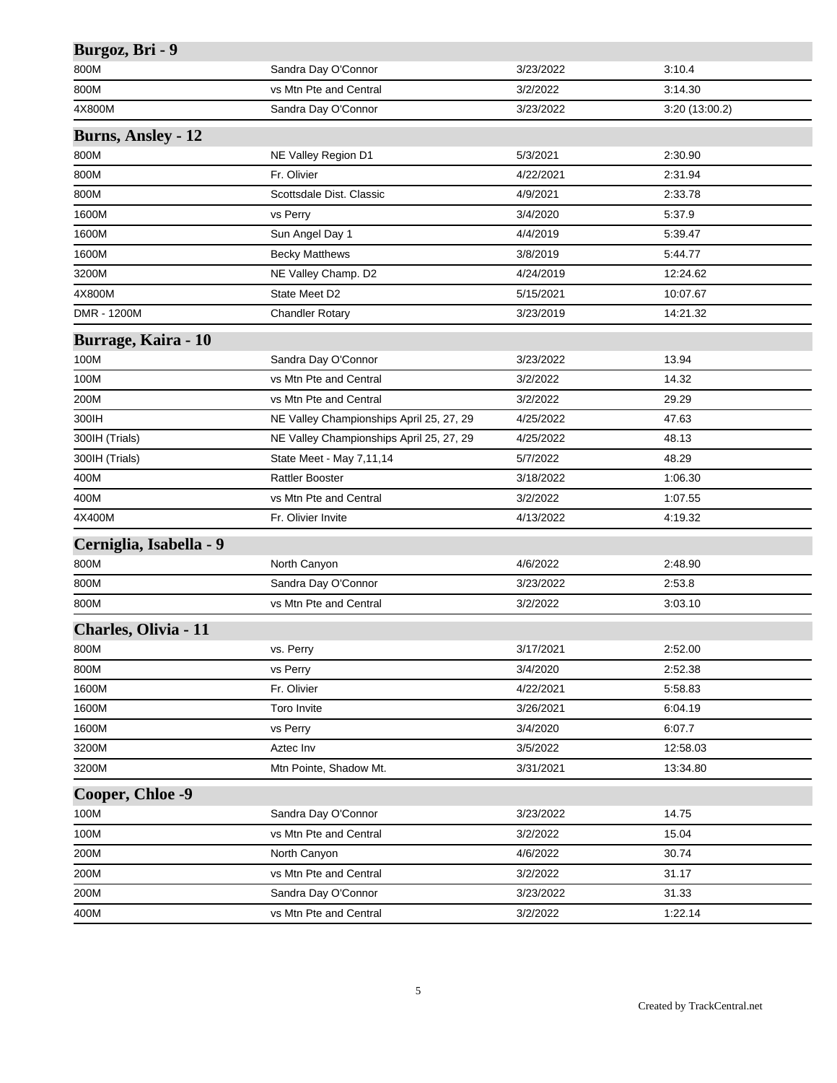| Burgoz, Bri - 9           |                                          |           |                |
|---------------------------|------------------------------------------|-----------|----------------|
| 800M                      | Sandra Day O'Connor                      | 3/23/2022 | 3:10.4         |
| 800M                      | vs Mtn Pte and Central                   | 3/2/2022  | 3:14.30        |
| 4X800M                    | Sandra Day O'Connor                      | 3/23/2022 | 3:20 (13:00.2) |
| <b>Burns, Ansley - 12</b> |                                          |           |                |
| 800M                      | NE Valley Region D1                      | 5/3/2021  | 2:30.90        |
| 800M                      | Fr. Olivier                              | 4/22/2021 | 2:31.94        |
| 800M                      | Scottsdale Dist. Classic                 | 4/9/2021  | 2:33.78        |
| 1600M                     | vs Perry                                 | 3/4/2020  | 5:37.9         |
| 1600M                     | Sun Angel Day 1                          | 4/4/2019  | 5:39.47        |
| 1600M                     | <b>Becky Matthews</b>                    | 3/8/2019  | 5:44.77        |
| 3200M                     | NE Valley Champ. D2                      | 4/24/2019 | 12:24.62       |
| 4X800M                    | State Meet D2                            | 5/15/2021 | 10:07.67       |
| DMR - 1200M               | <b>Chandler Rotary</b>                   | 3/23/2019 | 14:21.32       |
| Burrage, Kaira - 10       |                                          |           |                |
| 100M                      | Sandra Day O'Connor                      | 3/23/2022 | 13.94          |
| 100M                      | vs Mtn Pte and Central                   | 3/2/2022  | 14.32          |
| 200M                      | vs Mtn Pte and Central                   | 3/2/2022  | 29.29          |
| 300IH                     | NE Valley Championships April 25, 27, 29 | 4/25/2022 | 47.63          |
| 300IH (Trials)            | NE Valley Championships April 25, 27, 29 | 4/25/2022 | 48.13          |
| 300IH (Trials)            | State Meet - May 7,11,14                 | 5/7/2022  | 48.29          |
| 400M                      | <b>Rattler Booster</b>                   | 3/18/2022 | 1:06.30        |
| 400M                      | vs Mtn Pte and Central                   | 3/2/2022  | 1:07.55        |
| 4X400M                    | Fr. Olivier Invite                       | 4/13/2022 | 4:19.32        |
| Cerniglia, Isabella - 9   |                                          |           |                |
| 800M                      | North Canyon                             | 4/6/2022  | 2:48.90        |
| 800M                      | Sandra Day O'Connor                      | 3/23/2022 | 2:53.8         |
| 800M                      | vs Mtn Pte and Central                   | 3/2/2022  | 3:03.10        |
| Charles, Olivia - 11      |                                          |           |                |
| 800M                      | vs. Perry                                | 3/17/2021 | 2:52.00        |
| 800M                      | vs Perry                                 | 3/4/2020  | 2:52.38        |
| 1600M                     | Fr. Olivier                              | 4/22/2021 | 5:58.83        |
| 1600M                     | Toro Invite                              | 3/26/2021 | 6:04.19        |
| 1600M                     | vs Perry                                 | 3/4/2020  | 6:07.7         |
| 3200M                     | Aztec Inv                                | 3/5/2022  | 12:58.03       |
| 3200M                     | Mtn Pointe, Shadow Mt.                   | 3/31/2021 | 13:34.80       |
| Cooper, Chloe -9          |                                          |           |                |
| 100M                      | Sandra Day O'Connor                      | 3/23/2022 | 14.75          |
| 100M                      | vs Mtn Pte and Central                   | 3/2/2022  | 15.04          |
| 200M                      | North Canyon                             | 4/6/2022  | 30.74          |
| 200M                      | vs Mtn Pte and Central                   | 3/2/2022  | 31.17          |
| 200M                      | Sandra Day O'Connor                      | 3/23/2022 | 31.33          |
| 400M                      | vs Mtn Pte and Central                   | 3/2/2022  | 1:22.14        |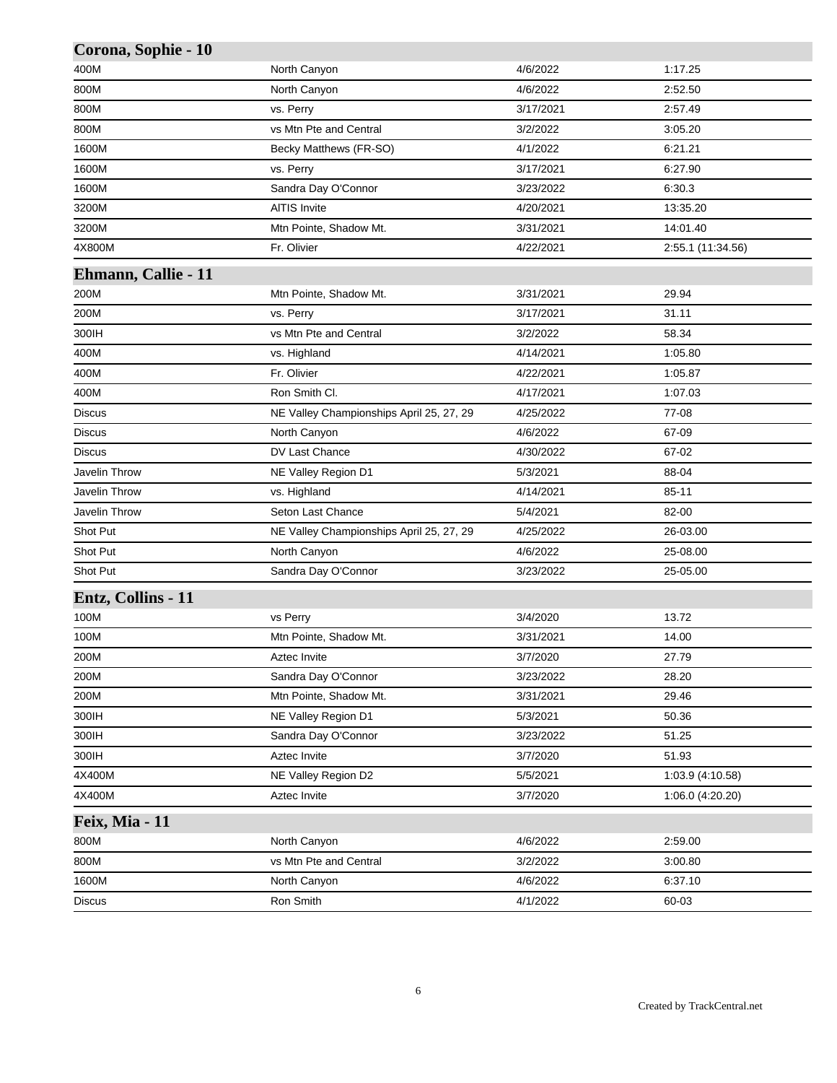| Corona, Sophie - 10 |                                          |           |                   |
|---------------------|------------------------------------------|-----------|-------------------|
| 400M                | North Canyon                             | 4/6/2022  | 1:17.25           |
| 800M                | North Canyon                             | 4/6/2022  | 2:52.50           |
| 800M                | vs. Perry                                | 3/17/2021 | 2:57.49           |
| 800M                | vs Mtn Pte and Central                   | 3/2/2022  | 3:05.20           |
| 1600M               | Becky Matthews (FR-SO)                   | 4/1/2022  | 6:21.21           |
| 1600M               | vs. Perry                                | 3/17/2021 | 6:27.90           |
| 1600M               | Sandra Day O'Connor                      | 3/23/2022 | 6:30.3            |
| 3200M               | <b>AITIS Invite</b>                      | 4/20/2021 | 13:35.20          |
| 3200M               | Mtn Pointe, Shadow Mt.                   | 3/31/2021 | 14:01.40          |
| 4X800M              | Fr. Olivier                              | 4/22/2021 | 2:55.1 (11:34.56) |
| Ehmann, Callie - 11 |                                          |           |                   |
| 200M                | Mtn Pointe, Shadow Mt.                   | 3/31/2021 | 29.94             |
| 200M                | vs. Perry                                | 3/17/2021 | 31.11             |
| 300IH               | vs Mtn Pte and Central                   | 3/2/2022  | 58.34             |
| 400M                | vs. Highland                             | 4/14/2021 | 1:05.80           |
| 400M                | Fr. Olivier                              | 4/22/2021 | 1:05.87           |
| 400M                | Ron Smith Cl.                            | 4/17/2021 | 1:07.03           |
| <b>Discus</b>       | NE Valley Championships April 25, 27, 29 | 4/25/2022 | 77-08             |
| Discus              | North Canyon                             | 4/6/2022  | 67-09             |
| Discus              | DV Last Chance                           | 4/30/2022 | 67-02             |
| Javelin Throw       | NE Valley Region D1                      | 5/3/2021  | 88-04             |
| Javelin Throw       | vs. Highland                             | 4/14/2021 | $85 - 11$         |
| Javelin Throw       | Seton Last Chance                        | 5/4/2021  | 82-00             |
| Shot Put            | NE Valley Championships April 25, 27, 29 | 4/25/2022 | 26-03.00          |
| Shot Put            | North Canyon                             | 4/6/2022  | 25-08.00          |
| Shot Put            | Sandra Day O'Connor                      | 3/23/2022 | 25-05.00          |
| Entz, Collins - 11  |                                          |           |                   |
| 100M                | vs Perry                                 | 3/4/2020  | 13.72             |
| 100M                | Mtn Pointe, Shadow Mt.                   | 3/31/2021 | 14.00             |
| 200M                | Aztec Invite                             | 3/7/2020  | 27.79             |
| 200M                | Sandra Day O'Connor                      | 3/23/2022 | 28.20             |
| 200M                | Mtn Pointe, Shadow Mt.                   | 3/31/2021 | 29.46             |
| 300IH               | NE Valley Region D1                      | 5/3/2021  | 50.36             |
| 300IH               | Sandra Day O'Connor                      | 3/23/2022 | 51.25             |
| 300IH               | Aztec Invite                             | 3/7/2020  | 51.93             |
| 4X400M              | NE Valley Region D2                      | 5/5/2021  | 1:03.9 (4:10.58)  |
| 4X400M              | Aztec Invite                             | 3/7/2020  | 1:06.0 (4:20.20)  |
| Feix, Mia - 11      |                                          |           |                   |
| 800M                | North Canyon                             | 4/6/2022  | 2:59.00           |
| 800M                | vs Mtn Pte and Central                   | 3/2/2022  | 3:00.80           |
| 1600M               | North Canyon                             | 4/6/2022  | 6:37.10           |
| Discus              | Ron Smith                                | 4/1/2022  | 60-03             |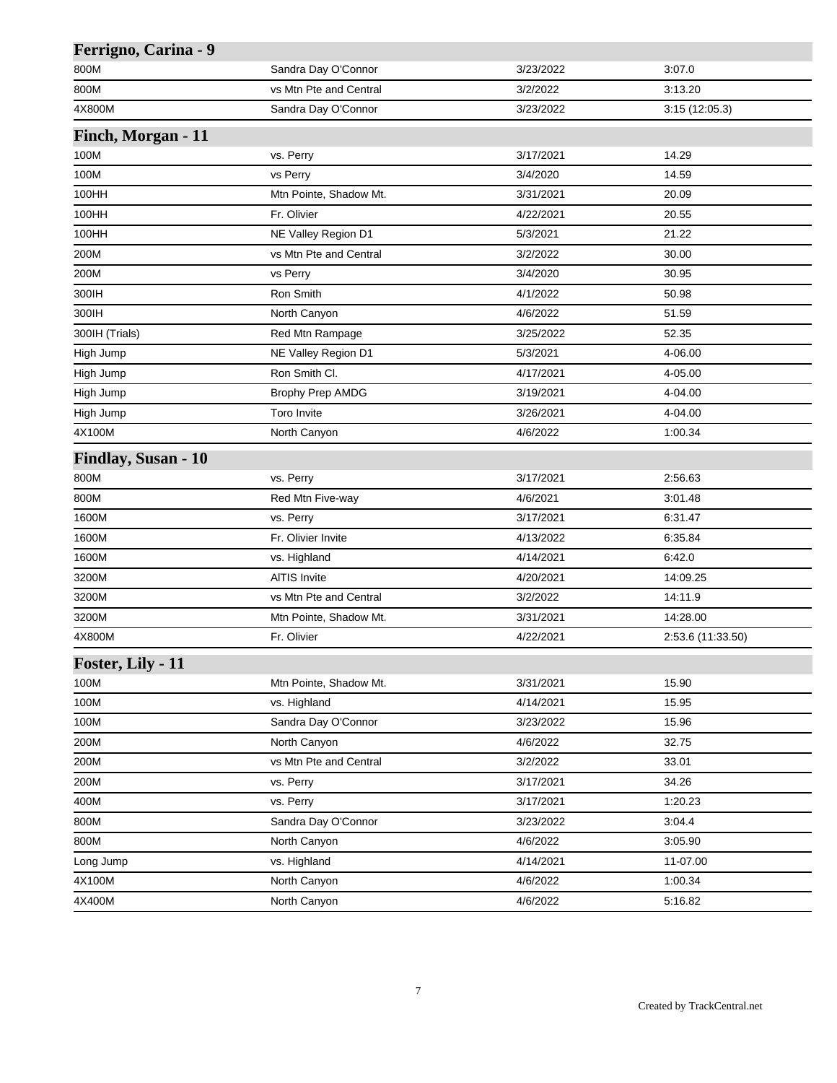| Ferrigno, Carina - 9 |                        |           |                   |
|----------------------|------------------------|-----------|-------------------|
| 800M                 | Sandra Day O'Connor    | 3/23/2022 | 3:07.0            |
| 800M                 | vs Mtn Pte and Central | 3/2/2022  | 3:13.20           |
| 4X800M               | Sandra Day O'Connor    | 3/23/2022 | 3:15(12:05.3)     |
| Finch, Morgan - 11   |                        |           |                   |
| 100M                 | vs. Perry              | 3/17/2021 | 14.29             |
| 100M                 | vs Perry               | 3/4/2020  | 14.59             |
| 100HH                | Mtn Pointe, Shadow Mt. | 3/31/2021 | 20.09             |
| 100HH                | Fr. Olivier            | 4/22/2021 | 20.55             |
| 100HH                | NE Valley Region D1    | 5/3/2021  | 21.22             |
| 200M                 | vs Mtn Pte and Central | 3/2/2022  | 30.00             |
| 200M                 | vs Perry               | 3/4/2020  | 30.95             |
| 300IH                | Ron Smith              | 4/1/2022  | 50.98             |
| 300IH                | North Canyon           | 4/6/2022  | 51.59             |
| 300IH (Trials)       | Red Mtn Rampage        | 3/25/2022 | 52.35             |
| High Jump            | NE Valley Region D1    | 5/3/2021  | 4-06.00           |
| High Jump            | Ron Smith Cl.          | 4/17/2021 | 4-05.00           |
| High Jump            | Brophy Prep AMDG       | 3/19/2021 | 4-04.00           |
| High Jump            | <b>Toro Invite</b>     | 3/26/2021 | 4-04.00           |
| 4X100M               | North Canyon           | 4/6/2022  | 1:00.34           |
| Findlay, Susan - 10  |                        |           |                   |
| 800M                 | vs. Perry              | 3/17/2021 | 2:56.63           |
| 800M                 | Red Mtn Five-way       | 4/6/2021  | 3:01.48           |
| 1600M                | vs. Perry              | 3/17/2021 | 6:31.47           |
| 1600M                | Fr. Olivier Invite     | 4/13/2022 | 6:35.84           |
| 1600M                | vs. Highland           | 4/14/2021 | 6:42.0            |
| 3200M                | <b>AITIS Invite</b>    | 4/20/2021 | 14:09.25          |
| 3200M                | vs Mtn Pte and Central | 3/2/2022  | 14:11.9           |
| 3200M                | Mtn Pointe, Shadow Mt. | 3/31/2021 | 14:28.00          |
| 4X800M               | Fr. Olivier            | 4/22/2021 | 2:53.6 (11:33.50) |
| Foster, Lily - 11    |                        |           |                   |
| 100M                 | Mtn Pointe, Shadow Mt. | 3/31/2021 | 15.90             |
| 100M                 | vs. Highland           | 4/14/2021 | 15.95             |
| 100M                 | Sandra Day O'Connor    | 3/23/2022 | 15.96             |
| 200M                 | North Canyon           | 4/6/2022  | 32.75             |
| 200M                 | vs Mtn Pte and Central | 3/2/2022  | 33.01             |
| 200M                 | vs. Perry              | 3/17/2021 | 34.26             |
| 400M                 | vs. Perry              | 3/17/2021 | 1:20.23           |
| 800M                 | Sandra Day O'Connor    | 3/23/2022 | 3.04.4            |
| 800M                 | North Canyon           | 4/6/2022  | 3:05.90           |
| Long Jump            | vs. Highland           | 4/14/2021 | 11-07.00          |
| 4X100M               | North Canyon           | 4/6/2022  | 1:00.34           |
| 4X400M               | North Canyon           | 4/6/2022  | 5:16.82           |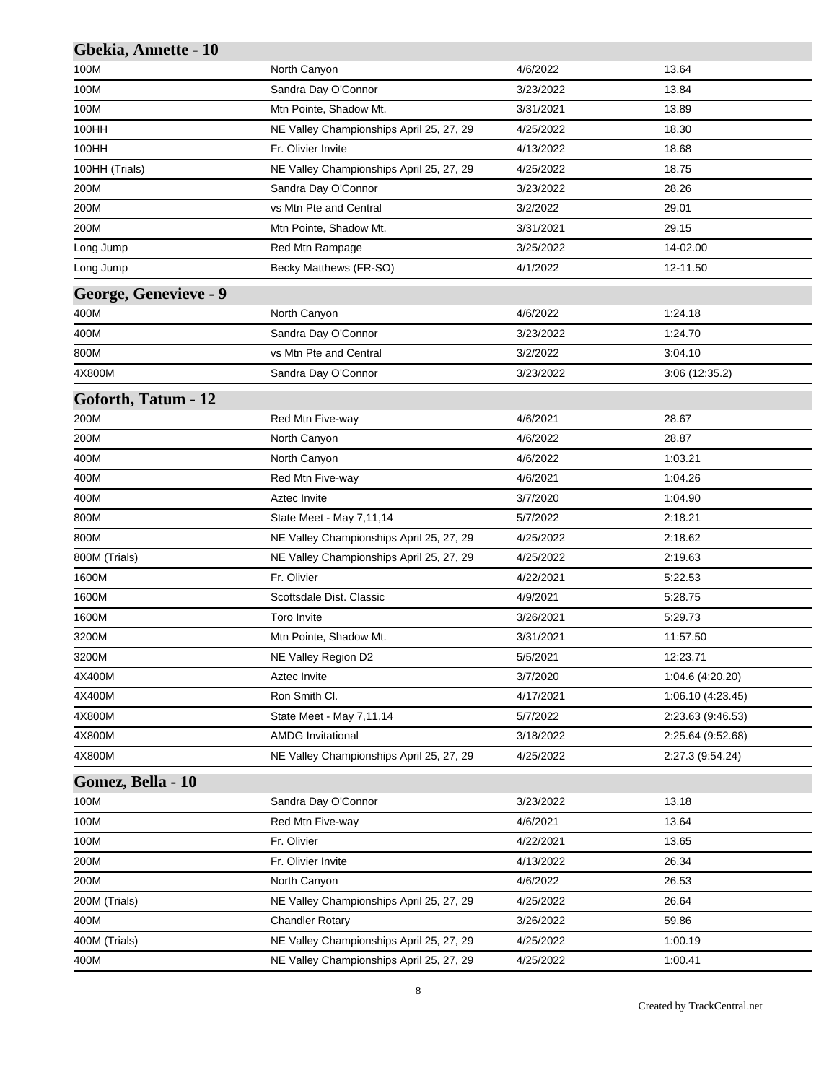| Gbekia, Annette - 10  |                                          |           |                   |
|-----------------------|------------------------------------------|-----------|-------------------|
| 100M                  | North Canyon                             | 4/6/2022  | 13.64             |
| 100M                  | Sandra Day O'Connor                      | 3/23/2022 | 13.84             |
| 100M                  | Mtn Pointe, Shadow Mt.                   | 3/31/2021 | 13.89             |
| 100HH                 | NE Valley Championships April 25, 27, 29 | 4/25/2022 | 18.30             |
| 100HH                 | Fr. Olivier Invite                       | 4/13/2022 | 18.68             |
| 100HH (Trials)        | NE Valley Championships April 25, 27, 29 | 4/25/2022 | 18.75             |
| 200M                  | Sandra Day O'Connor                      | 3/23/2022 | 28.26             |
| 200M                  | vs Mtn Pte and Central                   | 3/2/2022  | 29.01             |
| 200M                  | Mtn Pointe, Shadow Mt.                   | 3/31/2021 | 29.15             |
| Long Jump             | Red Mtn Rampage                          | 3/25/2022 | 14-02.00          |
| Long Jump             | Becky Matthews (FR-SO)                   | 4/1/2022  | 12-11.50          |
| George, Genevieve - 9 |                                          |           |                   |
| 400M                  | North Canyon                             | 4/6/2022  | 1:24.18           |
| 400M                  | Sandra Day O'Connor                      | 3/23/2022 | 1:24.70           |
| 800M                  | vs Mtn Pte and Central                   | 3/2/2022  | 3:04.10           |
| 4X800M                | Sandra Day O'Connor                      | 3/23/2022 | 3:06 (12:35.2)    |
| Goforth, Tatum - 12   |                                          |           |                   |
| 200M                  | Red Mtn Five-way                         | 4/6/2021  | 28.67             |
| 200M                  | North Canyon                             | 4/6/2022  | 28.87             |
| 400M                  | North Canyon                             | 4/6/2022  | 1:03.21           |
| 400M                  | Red Mtn Five-way                         | 4/6/2021  | 1:04.26           |
| 400M                  | Aztec Invite                             | 3/7/2020  | 1:04.90           |
| 800M                  | State Meet - May 7,11,14                 | 5/7/2022  | 2:18.21           |
| 800M                  | NE Valley Championships April 25, 27, 29 | 4/25/2022 | 2:18.62           |
| 800M (Trials)         | NE Valley Championships April 25, 27, 29 | 4/25/2022 | 2:19.63           |
| 1600M                 | Fr. Olivier                              | 4/22/2021 | 5:22.53           |
| 1600M                 | Scottsdale Dist. Classic                 | 4/9/2021  | 5:28.75           |
| 1600M                 | <b>Toro Invite</b>                       | 3/26/2021 | 5:29.73           |
| 3200M                 | Mtn Pointe, Shadow Mt.                   | 3/31/2021 | 11:57.50          |
| 3200M                 | NE Valley Region D2                      | 5/5/2021  | 12:23.71          |
| 4X400M                | Aztec Invite                             | 3/7/2020  | 1:04.6 (4:20.20)  |
| 4X400M                | Ron Smith Cl.                            | 4/17/2021 | 1:06.10 (4:23.45) |
| 4X800M                | State Meet - May 7,11,14                 | 5/7/2022  | 2:23.63 (9:46.53) |
| 4X800M                | <b>AMDG Invitational</b>                 | 3/18/2022 | 2:25.64 (9:52.68) |
| 4X800M                | NE Valley Championships April 25, 27, 29 | 4/25/2022 | 2:27.3 (9:54.24)  |
| Gomez, Bella - 10     |                                          |           |                   |
| 100M                  | Sandra Day O'Connor                      | 3/23/2022 | 13.18             |
| 100M                  | Red Mtn Five-way                         | 4/6/2021  | 13.64             |
| 100M                  | Fr. Olivier                              | 4/22/2021 | 13.65             |
| 200M                  | Fr. Olivier Invite                       | 4/13/2022 | 26.34             |
| 200M                  | North Canyon                             | 4/6/2022  | 26.53             |
| 200M (Trials)         | NE Valley Championships April 25, 27, 29 | 4/25/2022 | 26.64             |
| 400M                  | <b>Chandler Rotary</b>                   | 3/26/2022 | 59.86             |
| 400M (Trials)         | NE Valley Championships April 25, 27, 29 | 4/25/2022 | 1:00.19           |
| 400M                  | NE Valley Championships April 25, 27, 29 | 4/25/2022 | 1:00.41           |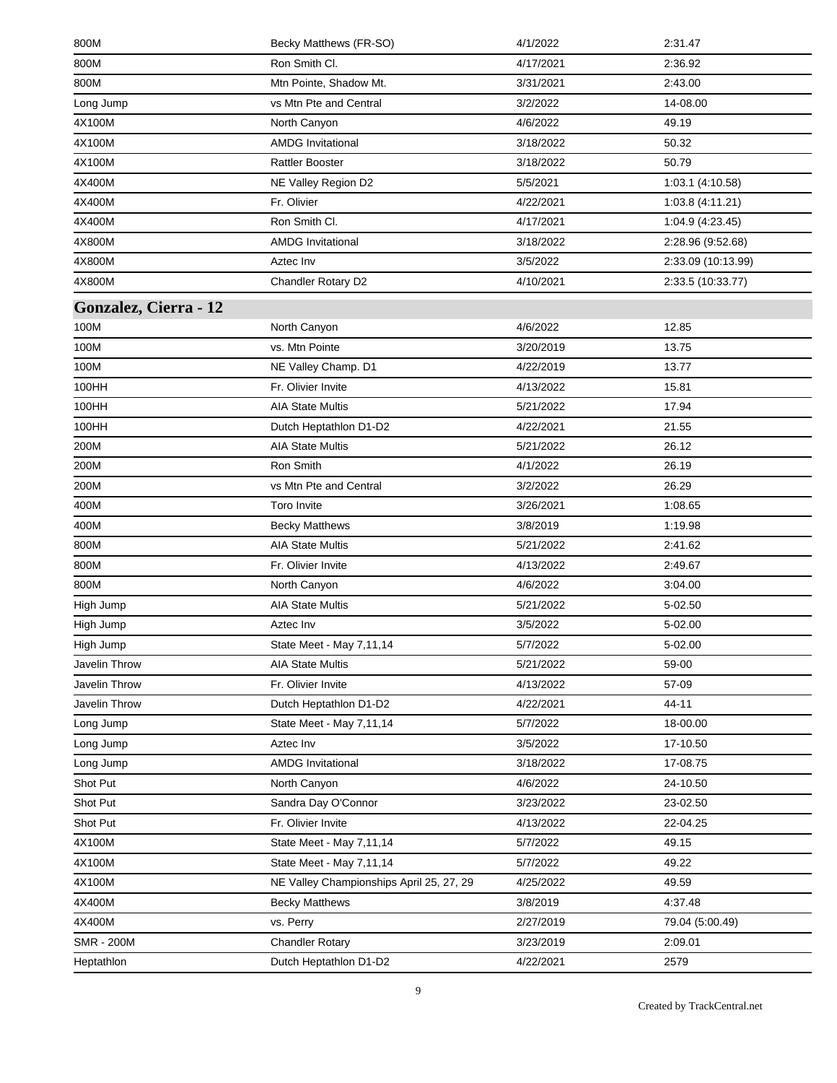| 800M                  | Becky Matthews (FR-SO)                   | 4/1/2022  | 2:31.47            |
|-----------------------|------------------------------------------|-----------|--------------------|
| 800M                  | Ron Smith Cl.                            | 4/17/2021 | 2:36.92            |
| 800M                  | Mtn Pointe, Shadow Mt.                   | 3/31/2021 | 2:43.00            |
| Long Jump             | vs Mtn Pte and Central                   | 3/2/2022  | 14-08.00           |
| 4X100M                | North Canyon                             | 4/6/2022  | 49.19              |
| 4X100M                | <b>AMDG</b> Invitational                 | 3/18/2022 | 50.32              |
| 4X100M                | <b>Rattler Booster</b>                   | 3/18/2022 | 50.79              |
| 4X400M                | NE Valley Region D2                      | 5/5/2021  | 1:03.1 (4:10.58)   |
| 4X400M                | Fr. Olivier                              | 4/22/2021 | 1:03.8(4:11.21)    |
| 4X400M                | Ron Smith Cl.                            | 4/17/2021 | 1:04.9 (4:23.45)   |
| 4X800M                | <b>AMDG Invitational</b>                 | 3/18/2022 | 2:28.96 (9:52.68)  |
| 4X800M                | Aztec Inv                                | 3/5/2022  | 2:33.09 (10:13.99) |
| 4X800M                | Chandler Rotary D2                       | 4/10/2021 | 2:33.5 (10:33.77)  |
| Gonzalez, Cierra - 12 |                                          |           |                    |
| 100M                  | North Canyon                             | 4/6/2022  | 12.85              |
| 100M                  | vs. Mtn Pointe                           | 3/20/2019 | 13.75              |
| 100M                  | NE Valley Champ. D1                      | 4/22/2019 | 13.77              |
| 100HH                 | Fr. Olivier Invite                       | 4/13/2022 | 15.81              |
| 100HH                 | <b>AIA State Multis</b>                  | 5/21/2022 | 17.94              |
| 100HH                 | Dutch Heptathlon D1-D2                   | 4/22/2021 | 21.55              |
| 200M                  | <b>AIA State Multis</b>                  | 5/21/2022 | 26.12              |
| 200M                  | Ron Smith                                | 4/1/2022  | 26.19              |
| 200M                  | vs Mtn Pte and Central                   | 3/2/2022  | 26.29              |
| 400M                  | <b>Toro Invite</b>                       | 3/26/2021 | 1:08.65            |
| 400M                  | <b>Becky Matthews</b>                    | 3/8/2019  | 1:19.98            |
| 800M                  | <b>AIA State Multis</b>                  | 5/21/2022 | 2:41.62            |
| 800M                  | Fr. Olivier Invite                       | 4/13/2022 | 2:49.67            |
| 800M                  | North Canyon                             | 4/6/2022  | 3:04.00            |
| High Jump             | <b>AIA State Multis</b>                  | 5/21/2022 | 5-02.50            |
| High Jump             | Aztec Inv                                | 3/5/2022  | 5-02.00            |
| High Jump             | State Meet - May 7,11,14                 | 5/7/2022  | 5-02.00            |
| Javelin Throw         | <b>AIA State Multis</b>                  | 5/21/2022 | 59-00              |
| Javelin Throw         | Fr. Olivier Invite                       | 4/13/2022 | 57-09              |
| Javelin Throw         | Dutch Heptathlon D1-D2                   | 4/22/2021 | 44-11              |
| Long Jump             | State Meet - May 7,11,14                 | 5/7/2022  | 18-00.00           |
| Long Jump             | Aztec Inv                                | 3/5/2022  | 17-10.50           |
| Long Jump             | <b>AMDG Invitational</b>                 | 3/18/2022 | 17-08.75           |
| Shot Put              | North Canyon                             | 4/6/2022  | 24-10.50           |
| Shot Put              | Sandra Day O'Connor                      | 3/23/2022 | 23-02.50           |
| Shot Put              | Fr. Olivier Invite                       | 4/13/2022 | 22-04.25           |
| 4X100M                | State Meet - May 7,11,14                 | 5/7/2022  | 49.15              |
| 4X100M                | State Meet - May 7,11,14                 | 5/7/2022  | 49.22              |
| 4X100M                | NE Valley Championships April 25, 27, 29 | 4/25/2022 | 49.59              |
| 4X400M                | <b>Becky Matthews</b>                    | 3/8/2019  | 4:37.48            |
| 4X400M                | vs. Perry                                | 2/27/2019 | 79.04 (5:00.49)    |
| <b>SMR - 200M</b>     | <b>Chandler Rotary</b>                   | 3/23/2019 | 2:09.01            |
| Heptathlon            | Dutch Heptathlon D1-D2                   | 4/22/2021 | 2579               |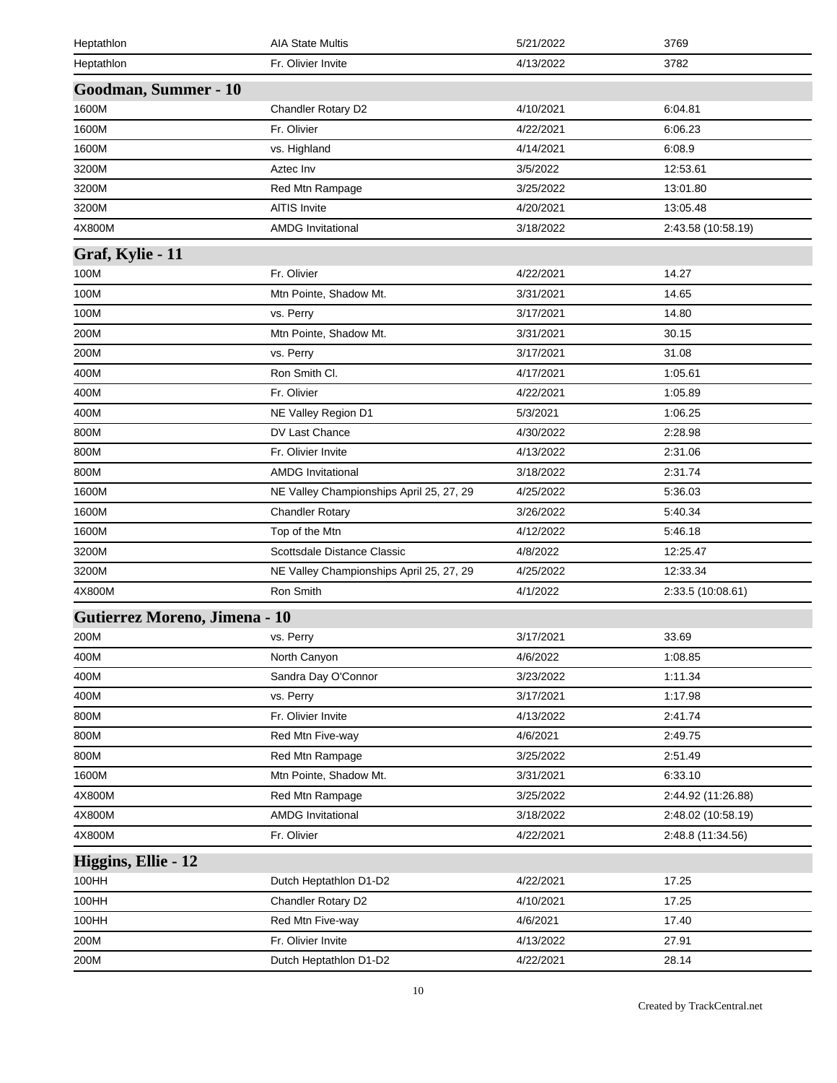| Heptathlon                    | <b>AIA State Multis</b>                  | 5/21/2022 | 3769               |
|-------------------------------|------------------------------------------|-----------|--------------------|
| Heptathlon                    | Fr. Olivier Invite                       | 4/13/2022 | 3782               |
| Goodman, Summer - 10          |                                          |           |                    |
| 1600M                         | Chandler Rotary D2                       | 4/10/2021 | 6:04.81            |
| 1600M                         | Fr. Olivier                              | 4/22/2021 | 6:06.23            |
| 1600M                         | vs. Highland                             | 4/14/2021 | 6:08.9             |
| 3200M                         | Aztec Inv                                | 3/5/2022  | 12:53.61           |
| 3200M                         | Red Mtn Rampage                          | 3/25/2022 | 13:01.80           |
| 3200M                         | <b>AITIS Invite</b>                      | 4/20/2021 | 13:05.48           |
| 4X800M                        | <b>AMDG Invitational</b>                 | 3/18/2022 | 2:43.58 (10:58.19) |
| Graf, Kylie - 11              |                                          |           |                    |
| 100M                          | Fr. Olivier                              | 4/22/2021 | 14.27              |
| 100M                          | Mtn Pointe, Shadow Mt.                   | 3/31/2021 | 14.65              |
| 100M                          | vs. Perry                                | 3/17/2021 | 14.80              |
| 200M                          | Mtn Pointe, Shadow Mt.                   | 3/31/2021 | 30.15              |
| 200M                          | vs. Perry                                | 3/17/2021 | 31.08              |
| 400M                          | Ron Smith Cl.                            | 4/17/2021 | 1:05.61            |
| 400M                          | Fr. Olivier                              | 4/22/2021 | 1:05.89            |
| 400M                          | NE Valley Region D1                      | 5/3/2021  | 1:06.25            |
| 800M                          | DV Last Chance                           | 4/30/2022 | 2:28.98            |
| 800M                          | Fr. Olivier Invite                       | 4/13/2022 | 2:31.06            |
| 800M                          | <b>AMDG Invitational</b>                 | 3/18/2022 | 2:31.74            |
| 1600M                         | NE Valley Championships April 25, 27, 29 | 4/25/2022 | 5:36.03            |
| 1600M                         | <b>Chandler Rotary</b>                   | 3/26/2022 | 5:40.34            |
| 1600M                         | Top of the Mtn                           | 4/12/2022 | 5:46.18            |
| 3200M                         | Scottsdale Distance Classic              | 4/8/2022  | 12:25.47           |
| 3200M                         | NE Valley Championships April 25, 27, 29 | 4/25/2022 | 12:33.34           |
| 4X800M                        | Ron Smith                                | 4/1/2022  | 2:33.5 (10:08.61)  |
| Gutierrez Moreno, Jimena - 10 |                                          |           |                    |
| 200M                          | vs. Perry                                | 3/17/2021 | 33.69              |
| 400M                          | North Canyon                             | 4/6/2022  | 1:08.85            |
| 400M                          | Sandra Day O'Connor                      | 3/23/2022 | 1:11.34            |
| 400M                          | vs. Perry                                | 3/17/2021 | 1:17.98            |
| 800M                          | Fr. Olivier Invite                       | 4/13/2022 | 2.41.74            |
| 800M                          | Red Mtn Five-way                         | 4/6/2021  | 2:49.75            |
| 800M                          | Red Mtn Rampage                          | 3/25/2022 | 2:51.49            |
| 1600M                         | Mtn Pointe, Shadow Mt.                   | 3/31/2021 | 6:33.10            |
| 4X800M                        | Red Mtn Rampage                          | 3/25/2022 | 2:44.92 (11:26.88) |
| 4X800M                        | <b>AMDG Invitational</b>                 | 3/18/2022 | 2:48.02 (10:58.19) |
| 4X800M                        | Fr. Olivier                              | 4/22/2021 | 2:48.8 (11:34.56)  |
| Higgins, Ellie - 12           |                                          |           |                    |
| 100HH                         | Dutch Heptathlon D1-D2                   | 4/22/2021 | 17.25              |
| 100HH                         | Chandler Rotary D2                       | 4/10/2021 | 17.25              |
| 100HH                         | Red Mtn Five-way                         | 4/6/2021  | 17.40              |
| 200M                          | Fr. Olivier Invite                       | 4/13/2022 | 27.91              |
| 200M                          | Dutch Heptathlon D1-D2                   | 4/22/2021 | 28.14              |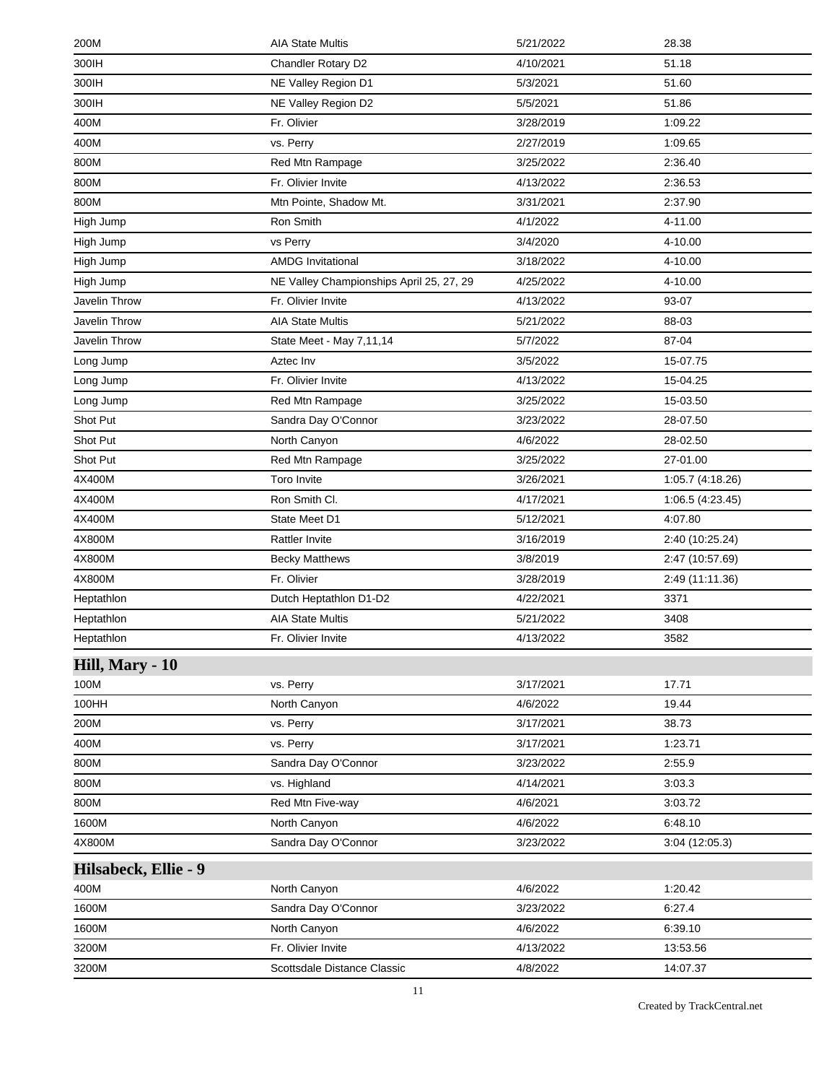| 200M                 | <b>AIA State Multis</b>                  | 5/21/2022 | 28.38            |
|----------------------|------------------------------------------|-----------|------------------|
| 300IH                | Chandler Rotary D2                       | 4/10/2021 | 51.18            |
| 300IH                | NE Valley Region D1                      | 5/3/2021  | 51.60            |
| 300IH                | NE Valley Region D2                      | 5/5/2021  | 51.86            |
| 400M                 | Fr. Olivier                              | 3/28/2019 | 1:09.22          |
| 400M                 | vs. Perry                                | 2/27/2019 | 1:09.65          |
| 800M                 | Red Mtn Rampage                          | 3/25/2022 | 2:36.40          |
| 800M                 | Fr. Olivier Invite                       | 4/13/2022 | 2:36.53          |
| 800M                 | Mtn Pointe, Shadow Mt.                   | 3/31/2021 | 2:37.90          |
| High Jump            | Ron Smith                                | 4/1/2022  | 4-11.00          |
| High Jump            | vs Perry                                 | 3/4/2020  | 4-10.00          |
| High Jump            | <b>AMDG Invitational</b>                 | 3/18/2022 | 4-10.00          |
| High Jump            | NE Valley Championships April 25, 27, 29 | 4/25/2022 | 4-10.00          |
| Javelin Throw        | Fr. Olivier Invite                       | 4/13/2022 | 93-07            |
| Javelin Throw        | <b>AIA State Multis</b>                  | 5/21/2022 | 88-03            |
| Javelin Throw        | State Meet - May 7,11,14                 | 5/7/2022  | 87-04            |
| Long Jump            | Aztec Inv                                | 3/5/2022  | 15-07.75         |
| Long Jump            | Fr. Olivier Invite                       | 4/13/2022 | 15-04.25         |
| Long Jump            | Red Mtn Rampage                          | 3/25/2022 | 15-03.50         |
| Shot Put             | Sandra Day O'Connor                      | 3/23/2022 | 28-07.50         |
| Shot Put             | North Canyon                             | 4/6/2022  | 28-02.50         |
| Shot Put             | Red Mtn Rampage                          | 3/25/2022 | 27-01.00         |
| 4X400M               | Toro Invite                              | 3/26/2021 | 1:05.7 (4:18.26) |
| 4X400M               | Ron Smith Cl.                            | 4/17/2021 | 1:06.5 (4:23.45) |
| 4X400M               | State Meet D1                            | 5/12/2021 | 4:07.80          |
| 4X800M               | <b>Rattler Invite</b>                    | 3/16/2019 | 2:40 (10:25.24)  |
| 4X800M               | <b>Becky Matthews</b>                    | 3/8/2019  | 2:47 (10:57.69)  |
| 4X800M               | Fr. Olivier                              | 3/28/2019 | 2:49 (11:11.36)  |
| Heptathlon           | Dutch Heptathlon D1-D2                   | 4/22/2021 | 3371             |
| Heptathlon           | <b>AIA State Multis</b>                  | 5/21/2022 | 3408             |
| Heptathlon           | Fr. Olivier Invite                       | 4/13/2022 | 3582             |
| Hill, Mary - 10      |                                          |           |                  |
| 100M                 | vs. Perry                                | 3/17/2021 | 17.71            |
| 100HH                | North Canyon                             | 4/6/2022  | 19.44            |
| 200M                 | vs. Perry                                | 3/17/2021 | 38.73            |
| 400M                 | vs. Perry                                | 3/17/2021 | 1:23.71          |
| 800M                 | Sandra Day O'Connor                      | 3/23/2022 | 2:55.9           |
| 800M                 | vs. Highland                             | 4/14/2021 | 3:03.3           |
| 800M                 | Red Mtn Five-way                         | 4/6/2021  | 3:03.72          |
| 1600M                | North Canyon                             | 4/6/2022  | 6:48.10          |
| 4X800M               | Sandra Day O'Connor                      | 3/23/2022 | 3:04(12:05.3)    |
| Hilsabeck, Ellie - 9 |                                          |           |                  |
| 400M                 | North Canyon                             | 4/6/2022  | 1:20.42          |
| 1600M                | Sandra Day O'Connor                      | 3/23/2022 | 6:27.4           |
| 1600M                | North Canyon                             | 4/6/2022  | 6:39.10          |
| 3200M                | Fr. Olivier Invite                       | 4/13/2022 | 13:53.56         |
| 3200M                | Scottsdale Distance Classic              | 4/8/2022  | 14:07.37         |
|                      |                                          |           |                  |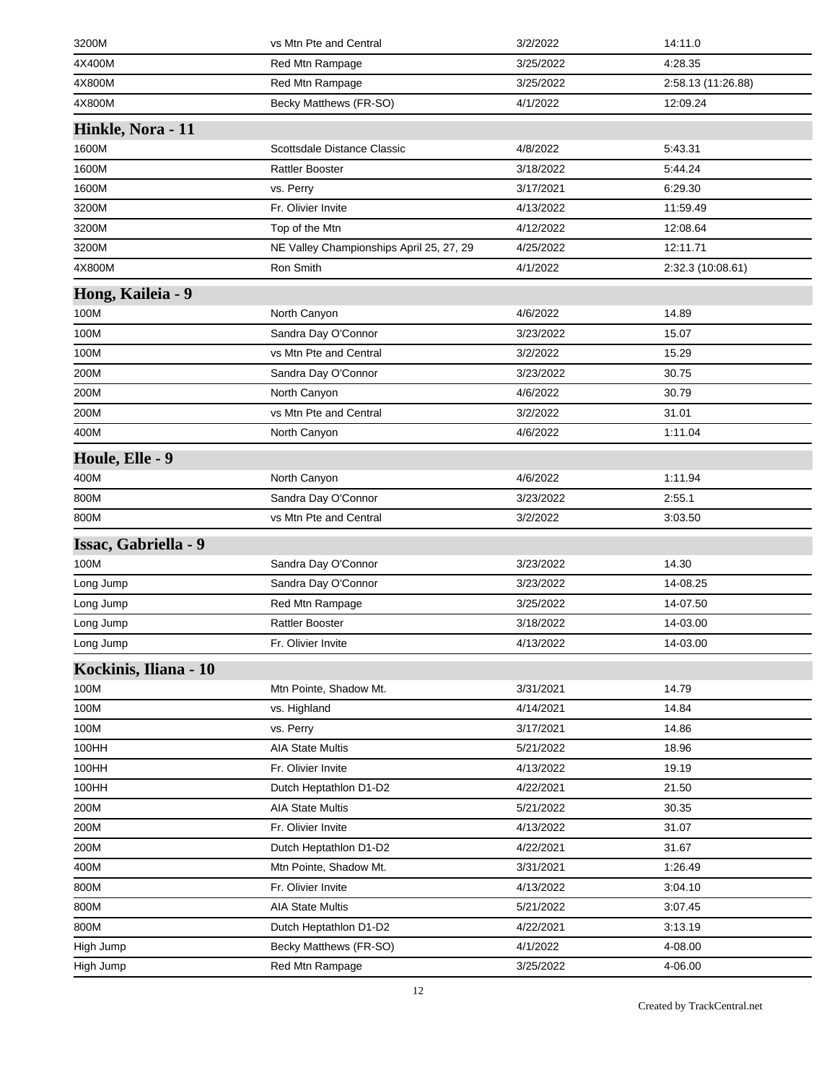| 3200M                 | vs Mtn Pte and Central                   | 3/2/2022  | 14:11.0            |
|-----------------------|------------------------------------------|-----------|--------------------|
| 4X400M                | Red Mtn Rampage                          | 3/25/2022 | 4:28.35            |
| 4X800M                | Red Mtn Rampage                          | 3/25/2022 | 2:58.13 (11:26.88) |
| 4X800M                | Becky Matthews (FR-SO)                   | 4/1/2022  | 12:09.24           |
| Hinkle, Nora - 11     |                                          |           |                    |
| 1600M                 | Scottsdale Distance Classic              | 4/8/2022  | 5:43.31            |
| 1600M                 | <b>Rattler Booster</b>                   | 3/18/2022 | 5:44.24            |
| 1600M                 | vs. Perry                                | 3/17/2021 | 6:29.30            |
| 3200M                 | Fr. Olivier Invite                       | 4/13/2022 | 11:59.49           |
| 3200M                 | Top of the Mtn                           | 4/12/2022 | 12:08.64           |
| 3200M                 | NE Valley Championships April 25, 27, 29 | 4/25/2022 | 12:11.71           |
| 4X800M                | Ron Smith                                | 4/1/2022  | 2:32.3 (10:08.61)  |
| Hong, Kaileia - 9     |                                          |           |                    |
| 100M                  | North Canyon                             | 4/6/2022  | 14.89              |
| 100M                  | Sandra Day O'Connor                      | 3/23/2022 | 15.07              |
| 100M                  | vs Mtn Pte and Central                   | 3/2/2022  | 15.29              |
| 200M                  | Sandra Day O'Connor                      | 3/23/2022 | 30.75              |
| 200M                  | North Canyon                             | 4/6/2022  | 30.79              |
| 200M                  | vs Mtn Pte and Central                   | 3/2/2022  | 31.01              |
| 400M                  | North Canyon                             | 4/6/2022  | 1:11.04            |
| Houle, Elle - 9       |                                          |           |                    |
| 400M                  | North Canyon                             | 4/6/2022  | 1:11.94            |
| 800M                  | Sandra Day O'Connor                      | 3/23/2022 | 2:55.1             |
| 800M                  | vs Mtn Pte and Central                   | 3/2/2022  | 3:03.50            |
| Issac, Gabriella - 9  |                                          |           |                    |
| 100M                  | Sandra Day O'Connor                      | 3/23/2022 | 14.30              |
| Long Jump             | Sandra Day O'Connor                      | 3/23/2022 | 14-08.25           |
| Long Jump             | Red Mtn Rampage                          | 3/25/2022 | 14-07.50           |
| Long Jump             | <b>Rattler Booster</b>                   | 3/18/2022 | 14-03.00           |
| Long Jump             | Fr. Olivier Invite                       | 4/13/2022 | 14-03.00           |
| Kockinis, Iliana - 10 |                                          |           |                    |
| 100M                  | Mtn Pointe, Shadow Mt.                   | 3/31/2021 | 14.79              |
| 100M                  | vs. Highland                             | 4/14/2021 | 14.84              |
| 100M                  | vs. Perry                                | 3/17/2021 | 14.86              |
| 100HH                 | <b>AIA State Multis</b>                  | 5/21/2022 | 18.96              |
| 100HH                 | Fr. Olivier Invite                       | 4/13/2022 | 19.19              |
| 100HH                 | Dutch Heptathlon D1-D2                   | 4/22/2021 | 21.50              |
| 200M                  | <b>AIA State Multis</b>                  | 5/21/2022 | 30.35              |
| 200M                  | Fr. Olivier Invite                       | 4/13/2022 | 31.07              |
| 200M                  | Dutch Heptathlon D1-D2                   | 4/22/2021 | 31.67              |
| 400M                  | Mtn Pointe, Shadow Mt.                   | 3/31/2021 | 1:26.49            |
| 800M                  | Fr. Olivier Invite                       | 4/13/2022 | 3:04.10            |
| 800M                  | <b>AIA State Multis</b>                  | 5/21/2022 | 3:07.45            |
| 800M                  | Dutch Heptathlon D1-D2                   | 4/22/2021 | 3:13.19            |
| High Jump             | Becky Matthews (FR-SO)                   | 4/1/2022  | 4-08.00            |
| High Jump             | Red Mtn Rampage                          | 3/25/2022 | 4-06.00            |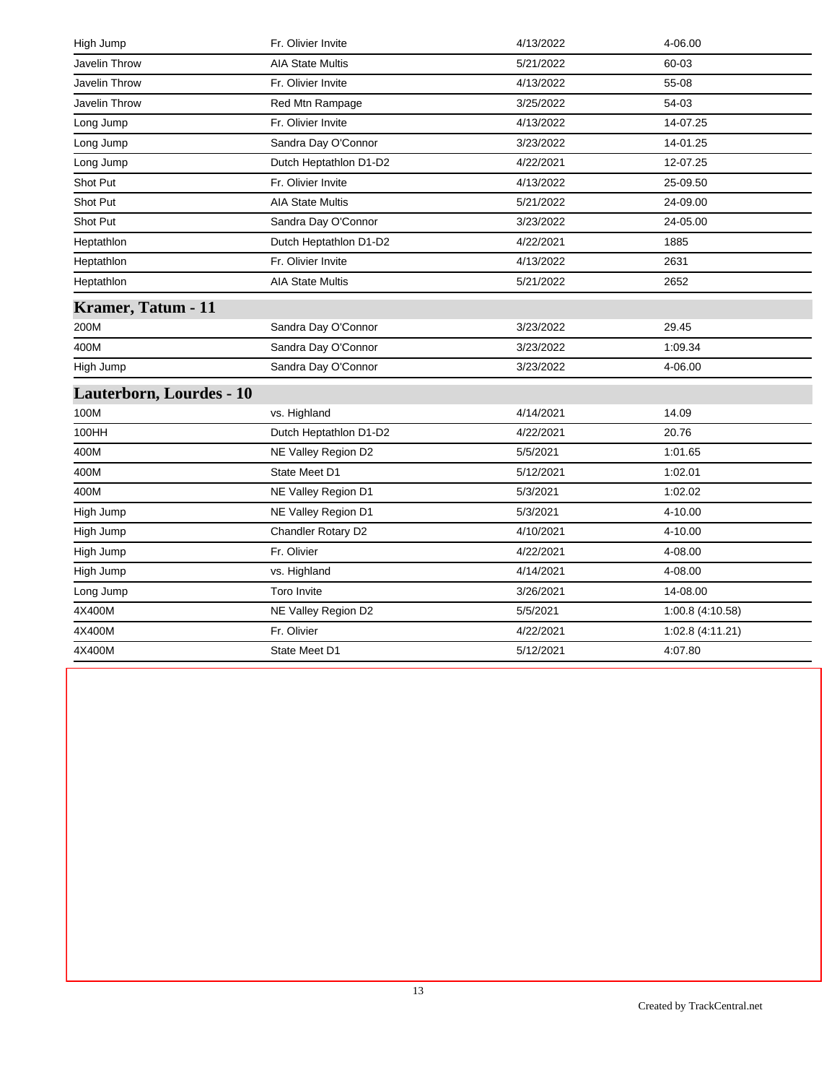| High Jump                 | Fr. Olivier Invite      | 4/13/2022 | 4-06.00          |
|---------------------------|-------------------------|-----------|------------------|
| Javelin Throw             | <b>AIA State Multis</b> | 5/21/2022 | 60-03            |
| Javelin Throw             | Fr. Olivier Invite      | 4/13/2022 | 55-08            |
| Javelin Throw             | Red Mtn Rampage         | 3/25/2022 | 54-03            |
| Long Jump                 | Fr. Olivier Invite      | 4/13/2022 | 14-07.25         |
| Long Jump                 | Sandra Day O'Connor     | 3/23/2022 | 14-01.25         |
| Long Jump                 | Dutch Heptathlon D1-D2  | 4/22/2021 | 12-07.25         |
| Shot Put                  | Fr. Olivier Invite      | 4/13/2022 | 25-09.50         |
| Shot Put                  | <b>AIA State Multis</b> | 5/21/2022 | 24-09.00         |
| Shot Put                  | Sandra Day O'Connor     | 3/23/2022 | 24-05.00         |
| Heptathlon                | Dutch Heptathlon D1-D2  | 4/22/2021 | 1885             |
| Heptathlon                | Fr. Olivier Invite      | 4/13/2022 | 2631             |
| Heptathlon                | <b>AIA State Multis</b> | 5/21/2022 | 2652             |
| <b>Kramer, Tatum - 11</b> |                         |           |                  |
| 200M                      | Sandra Day O'Connor     | 3/23/2022 | 29.45            |
| 400M                      | Sandra Day O'Connor     | 3/23/2022 | 1:09.34          |
| High Jump                 | Sandra Day O'Connor     | 3/23/2022 | 4-06.00          |
| Lauterborn, Lourdes - 10  |                         |           |                  |
| 100M                      | vs. Highland            | 4/14/2021 | 14.09            |
| 100HH                     | Dutch Heptathlon D1-D2  | 4/22/2021 | 20.76            |
| 400M                      | NE Valley Region D2     | 5/5/2021  | 1:01.65          |
| 400M                      | State Meet D1           | 5/12/2021 | 1:02.01          |
| 400M                      | NE Valley Region D1     | 5/3/2021  | 1:02.02          |
| High Jump                 | NE Valley Region D1     | 5/3/2021  | 4-10.00          |
| High Jump                 | Chandler Rotary D2      | 4/10/2021 | 4-10.00          |
| High Jump                 | Fr. Olivier             | 4/22/2021 | 4-08.00          |
| High Jump                 | vs. Highland            | 4/14/2021 | 4-08.00          |
| Long Jump                 | Toro Invite             | 3/26/2021 | 14-08.00         |
| 4X400M                    | NE Valley Region D2     | 5/5/2021  | 1:00.8(4:10.58)  |
| 4X400M                    | Fr. Olivier             | 4/22/2021 | 1:02.8 (4:11.21) |
| 4X400M                    | State Meet D1           | 5/12/2021 | 4:07.80          |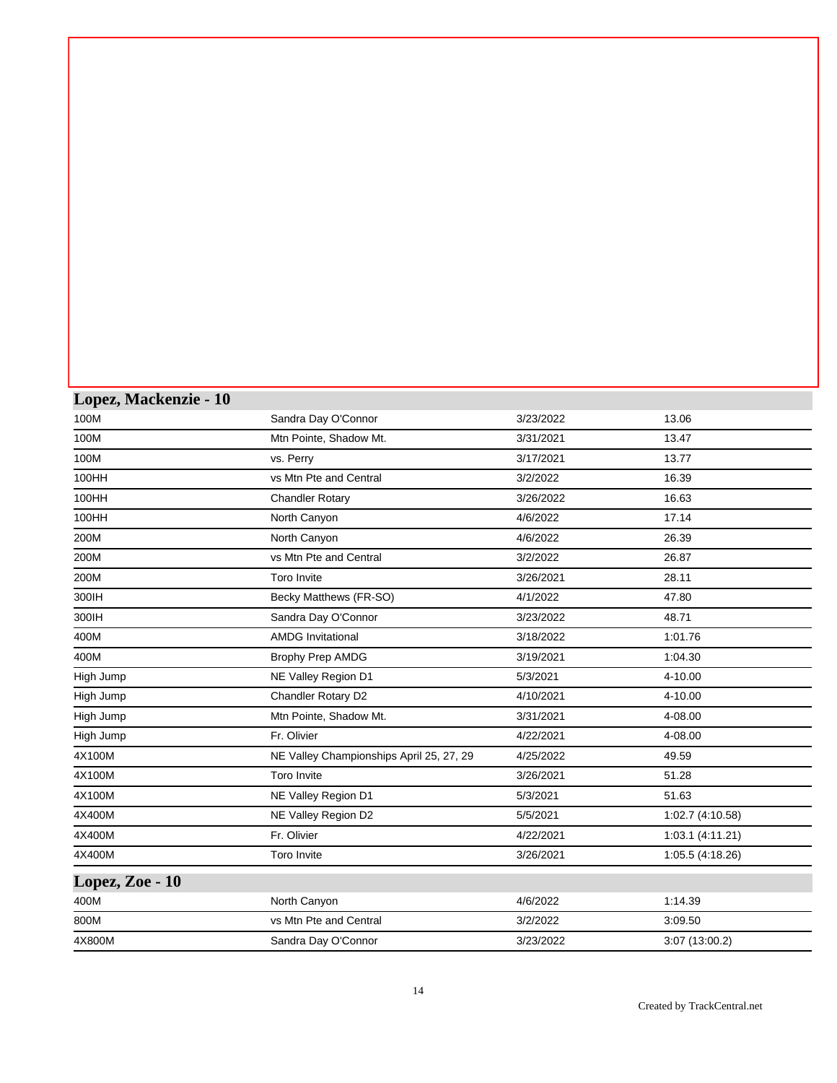| Lopez, Mackenzie - 10 |                                          |           |                  |
|-----------------------|------------------------------------------|-----------|------------------|
| 100M                  | Sandra Day O'Connor                      | 3/23/2022 | 13.06            |
| 100M                  | Mtn Pointe, Shadow Mt.                   | 3/31/2021 | 13.47            |
| 100M                  | vs. Perry                                | 3/17/2021 | 13.77            |
| 100HH                 | vs Mtn Pte and Central                   | 3/2/2022  | 16.39            |
| 100HH                 | <b>Chandler Rotary</b>                   | 3/26/2022 | 16.63            |
| 100HH                 | North Canyon                             | 4/6/2022  | 17.14            |
| 200M                  | North Canyon                             | 4/6/2022  | 26.39            |
| 200M                  | vs Mtn Pte and Central                   | 3/2/2022  | 26.87            |
| 200M                  | <b>Toro Invite</b>                       | 3/26/2021 | 28.11            |
| 300IH                 | Becky Matthews (FR-SO)                   | 4/1/2022  | 47.80            |
| 300IH                 | Sandra Day O'Connor                      | 3/23/2022 | 48.71            |
| 400M                  | <b>AMDG Invitational</b>                 | 3/18/2022 | 1:01.76          |
| 400M                  | Brophy Prep AMDG                         | 3/19/2021 | 1:04.30          |
| High Jump             | NE Valley Region D1                      | 5/3/2021  | 4-10.00          |
| High Jump             | Chandler Rotary D2                       | 4/10/2021 | 4-10.00          |
| High Jump             | Mtn Pointe, Shadow Mt.                   | 3/31/2021 | 4-08.00          |
| High Jump             | Fr. Olivier                              | 4/22/2021 | 4-08.00          |
| 4X100M                | NE Valley Championships April 25, 27, 29 | 4/25/2022 | 49.59            |
| 4X100M                | <b>Toro Invite</b>                       | 3/26/2021 | 51.28            |
| 4X100M                | NE Valley Region D1                      | 5/3/2021  | 51.63            |
| 4X400M                | NE Valley Region D2                      | 5/5/2021  | 1:02.7 (4:10.58) |
| 4X400M                | Fr. Olivier                              | 4/22/2021 | 1:03.1(4:11.21)  |
| 4X400M                | Toro Invite                              | 3/26/2021 | 1:05.5 (4:18.26) |
| Lopez, Zoe - 10       |                                          |           |                  |
| 400M                  | North Canyon                             | 4/6/2022  | 1:14.39          |
| 800M                  | vs Mtn Pte and Central                   | 3/2/2022  | 3:09.50          |
| 4X800M                | Sandra Day O'Connor                      | 3/23/2022 | 3:07 (13:00.2)   |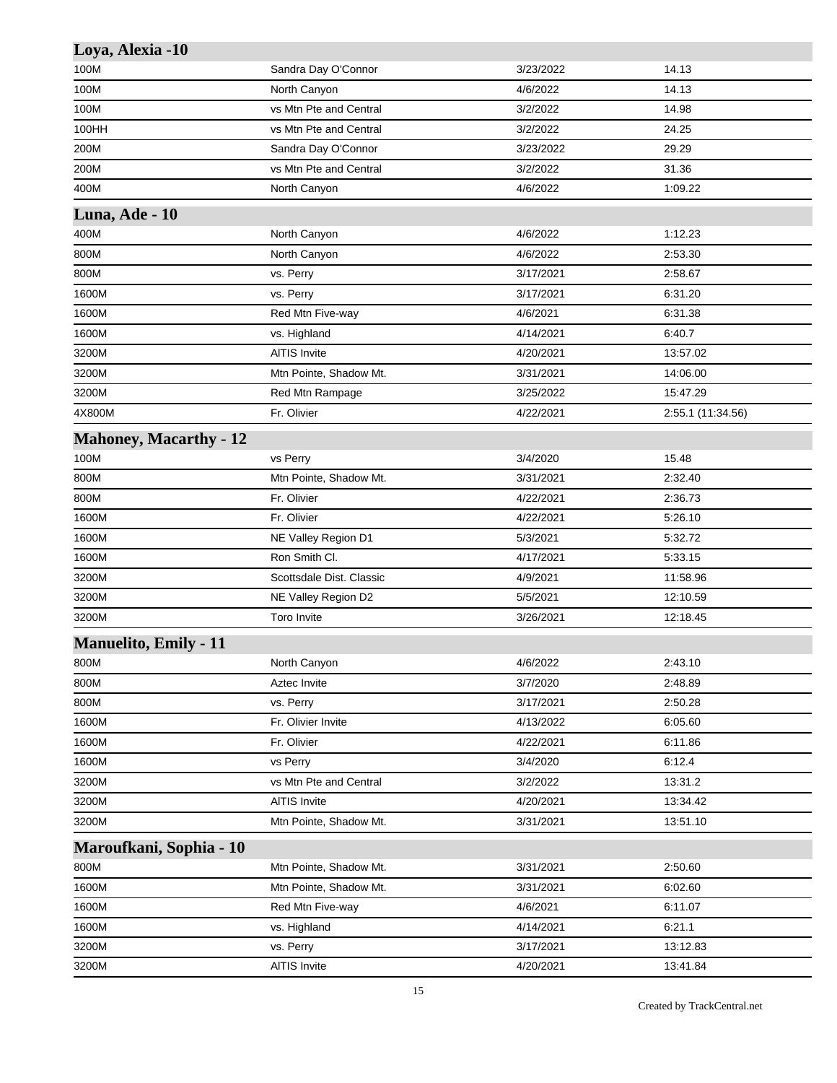| Loya, Alexia -10              |                          |           |                   |
|-------------------------------|--------------------------|-----------|-------------------|
| 100M                          | Sandra Day O'Connor      | 3/23/2022 | 14.13             |
| 100M                          | North Canyon             | 4/6/2022  | 14.13             |
| 100M                          | vs Mtn Pte and Central   | 3/2/2022  | 14.98             |
| 100HH                         | vs Mtn Pte and Central   | 3/2/2022  | 24.25             |
| 200M                          | Sandra Day O'Connor      | 3/23/2022 | 29.29             |
| 200M                          | vs Mtn Pte and Central   | 3/2/2022  | 31.36             |
| 400M                          | North Canyon             | 4/6/2022  | 1:09.22           |
| Luna, Ade - 10                |                          |           |                   |
| 400M                          | North Canyon             | 4/6/2022  | 1:12.23           |
| 800M                          | North Canyon             | 4/6/2022  | 2:53.30           |
| 800M                          | vs. Perry                | 3/17/2021 | 2:58.67           |
| 1600M                         | vs. Perry                | 3/17/2021 | 6:31.20           |
| 1600M                         | Red Mtn Five-way         | 4/6/2021  | 6:31.38           |
| 1600M                         | vs. Highland             | 4/14/2021 | 6:40.7            |
| 3200M                         | <b>AITIS Invite</b>      | 4/20/2021 | 13:57.02          |
| 3200M                         | Mtn Pointe, Shadow Mt.   | 3/31/2021 | 14:06.00          |
| 3200M                         | Red Mtn Rampage          | 3/25/2022 | 15:47.29          |
| 4X800M                        | Fr. Olivier              | 4/22/2021 | 2:55.1 (11:34.56) |
| <b>Mahoney, Macarthy - 12</b> |                          |           |                   |
| 100M                          | vs Perry                 | 3/4/2020  | 15.48             |
| 800M                          | Mtn Pointe, Shadow Mt.   | 3/31/2021 | 2:32.40           |
| 800M                          | Fr. Olivier              | 4/22/2021 | 2:36.73           |
| 1600M                         | Fr. Olivier              | 4/22/2021 | 5:26.10           |
| 1600M                         | NE Valley Region D1      | 5/3/2021  | 5:32.72           |
| 1600M                         | Ron Smith Cl.            | 4/17/2021 | 5:33.15           |
| 3200M                         | Scottsdale Dist. Classic | 4/9/2021  | 11:58.96          |
| 3200M                         | NE Valley Region D2      | 5/5/2021  | 12:10.59          |
| 3200M                         | <b>Toro Invite</b>       | 3/26/2021 | 12:18.45          |
| <b>Manuelito, Emily - 11</b>  |                          |           |                   |
| 800M                          | North Canyon             | 4/6/2022  | 2:43.10           |
| 800M                          | Aztec Invite             | 3/7/2020  | 2:48.89           |
| 800M                          | vs. Perry                | 3/17/2021 | 2:50.28           |
| 1600M                         | Fr. Olivier Invite       | 4/13/2022 | 6:05.60           |
| 1600M                         | Fr. Olivier              | 4/22/2021 | 6:11.86           |
| 1600M                         | vs Perry                 | 3/4/2020  | 6:12.4            |
| 3200M                         | vs Mtn Pte and Central   | 3/2/2022  | 13:31.2           |
| 3200M                         | <b>AITIS Invite</b>      | 4/20/2021 | 13:34.42          |
| 3200M                         | Mtn Pointe, Shadow Mt.   | 3/31/2021 | 13:51.10          |
| Maroufkani, Sophia - 10       |                          |           |                   |
| 800M                          | Mtn Pointe, Shadow Mt.   | 3/31/2021 | 2:50.60           |
| 1600M                         | Mtn Pointe, Shadow Mt.   | 3/31/2021 | 6:02.60           |
| 1600M                         | Red Mtn Five-way         | 4/6/2021  | 6:11.07           |
| 1600M                         | vs. Highland             | 4/14/2021 | 6.21.1            |
| 3200M                         | vs. Perry                | 3/17/2021 | 13:12.83          |
| 3200M                         | AITIS Invite             | 4/20/2021 | 13:41.84          |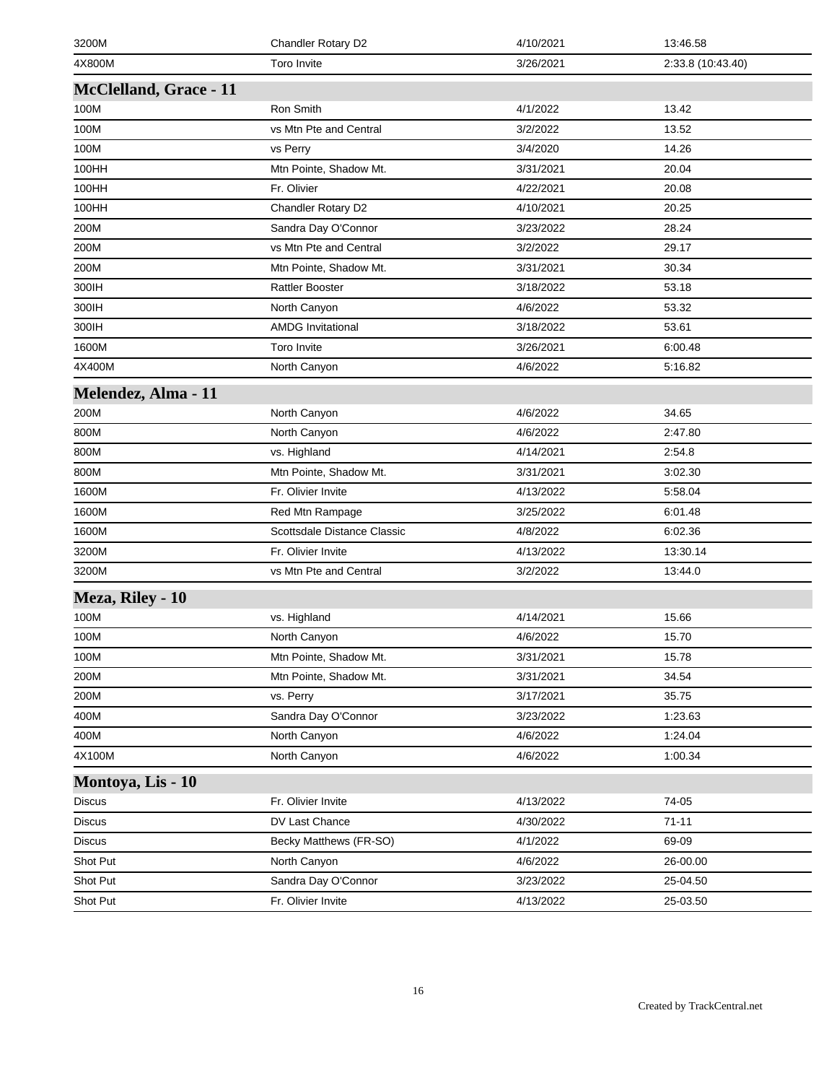| 3200M                         | Chandler Rotary D2          | 4/10/2021 | 13:46.58          |
|-------------------------------|-----------------------------|-----------|-------------------|
| 4X800M                        | <b>Toro Invite</b>          | 3/26/2021 | 2:33.8 (10:43.40) |
| <b>McClelland, Grace - 11</b> |                             |           |                   |
| 100M                          | Ron Smith                   | 4/1/2022  | 13.42             |
| 100M                          | vs Mtn Pte and Central      | 3/2/2022  | 13.52             |
| 100M                          | vs Perry                    | 3/4/2020  | 14.26             |
| 100HH                         | Mtn Pointe, Shadow Mt.      | 3/31/2021 | 20.04             |
| 100HH                         | Fr. Olivier                 | 4/22/2021 | 20.08             |
| 100HH                         | Chandler Rotary D2          | 4/10/2021 | 20.25             |
| 200M                          | Sandra Day O'Connor         | 3/23/2022 | 28.24             |
| 200M                          | vs Mtn Pte and Central      | 3/2/2022  | 29.17             |
| 200M                          | Mtn Pointe, Shadow Mt.      | 3/31/2021 | 30.34             |
| 300IH                         | <b>Rattler Booster</b>      | 3/18/2022 | 53.18             |
| 300IH                         | North Canyon                | 4/6/2022  | 53.32             |
| 300IH                         | <b>AMDG Invitational</b>    | 3/18/2022 | 53.61             |
| 1600M                         | <b>Toro Invite</b>          | 3/26/2021 | 6:00.48           |
| 4X400M                        | North Canyon                | 4/6/2022  | 5:16.82           |
| Melendez, Alma - 11           |                             |           |                   |
| 200M                          | North Canyon                | 4/6/2022  | 34.65             |
| 800M                          | North Canyon                | 4/6/2022  | 2:47.80           |
| 800M                          | vs. Highland                | 4/14/2021 | 2:54.8            |
| 800M                          | Mtn Pointe, Shadow Mt.      | 3/31/2021 | 3:02.30           |
| 1600M                         | Fr. Olivier Invite          | 4/13/2022 | 5:58.04           |
| 1600M                         | Red Mtn Rampage             | 3/25/2022 | 6:01.48           |
| 1600M                         | Scottsdale Distance Classic | 4/8/2022  | 6:02.36           |
| 3200M                         | Fr. Olivier Invite          | 4/13/2022 | 13:30.14          |
| 3200M                         | vs Mtn Pte and Central      | 3/2/2022  | 13:44.0           |
| Meza, Riley - 10              |                             |           |                   |
| 100M                          | vs. Highland                | 4/14/2021 | 15.66             |
| 100M                          | North Canyon                | 4/6/2022  | 15.70             |
| 100M                          | Mtn Pointe, Shadow Mt.      | 3/31/2021 | 15.78             |
| 200M                          | Mtn Pointe, Shadow Mt.      | 3/31/2021 | 34.54             |
| 200M                          | vs. Perry                   | 3/17/2021 | 35.75             |
| 400M                          | Sandra Day O'Connor         | 3/23/2022 | 1:23.63           |
| 400M                          | North Canyon                | 4/6/2022  | 1:24.04           |
| 4X100M                        | North Canyon                | 4/6/2022  | 1:00.34           |
| Montoya, Lis - 10             |                             |           |                   |
| <b>Discus</b>                 | Fr. Olivier Invite          | 4/13/2022 | 74-05             |
| <b>Discus</b>                 | DV Last Chance              | 4/30/2022 | $71 - 11$         |
| <b>Discus</b>                 | Becky Matthews (FR-SO)      | 4/1/2022  | 69-09             |
| Shot Put                      | North Canyon                | 4/6/2022  | 26-00.00          |
| Shot Put                      | Sandra Day O'Connor         | 3/23/2022 | 25-04.50          |
| Shot Put                      | Fr. Olivier Invite          | 4/13/2022 | 25-03.50          |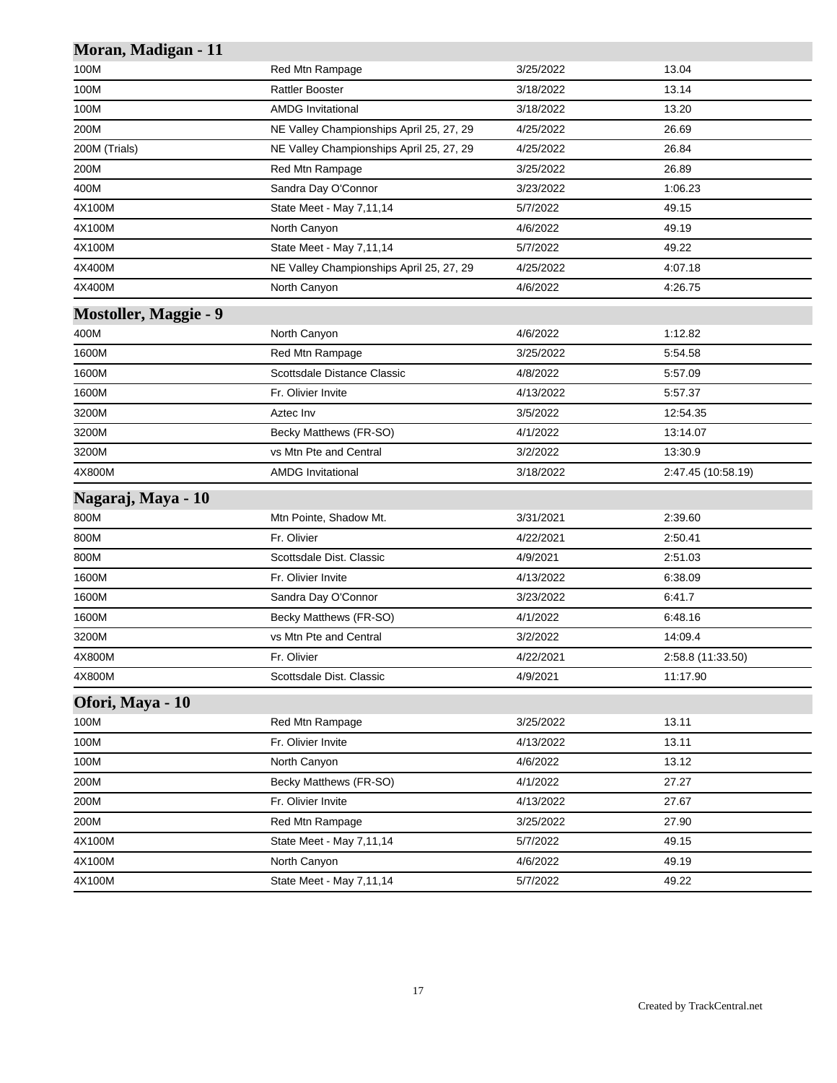| Moran, Madigan - 11          |                                          |           |                    |
|------------------------------|------------------------------------------|-----------|--------------------|
| 100M                         | Red Mtn Rampage                          | 3/25/2022 | 13.04              |
| 100M                         | <b>Rattler Booster</b>                   | 3/18/2022 | 13.14              |
| 100M                         | <b>AMDG Invitational</b>                 | 3/18/2022 | 13.20              |
| 200M                         | NE Valley Championships April 25, 27, 29 | 4/25/2022 | 26.69              |
| 200M (Trials)                | NE Valley Championships April 25, 27, 29 | 4/25/2022 | 26.84              |
| 200M                         | Red Mtn Rampage                          | 3/25/2022 | 26.89              |
| 400M                         | Sandra Day O'Connor                      | 3/23/2022 | 1:06.23            |
| 4X100M                       | State Meet - May 7,11,14                 | 5/7/2022  | 49.15              |
| 4X100M                       | North Canyon                             | 4/6/2022  | 49.19              |
| 4X100M                       | State Meet - May 7,11,14                 | 5/7/2022  | 49.22              |
| 4X400M                       | NE Valley Championships April 25, 27, 29 | 4/25/2022 | 4:07.18            |
| 4X400M                       | North Canyon                             | 4/6/2022  | 4:26.75            |
| <b>Mostoller, Maggie - 9</b> |                                          |           |                    |
| 400M                         | North Canyon                             | 4/6/2022  | 1:12.82            |
| 1600M                        | Red Mtn Rampage                          | 3/25/2022 | 5:54.58            |
| 1600M                        | Scottsdale Distance Classic              | 4/8/2022  | 5:57.09            |
| 1600M                        | Fr. Olivier Invite                       | 4/13/2022 | 5:57.37            |
| 3200M                        | Aztec Inv                                | 3/5/2022  | 12:54.35           |
| 3200M                        | Becky Matthews (FR-SO)                   | 4/1/2022  | 13:14.07           |
| 3200M                        | vs Mtn Pte and Central                   | 3/2/2022  | 13:30.9            |
| 4X800M                       | <b>AMDG Invitational</b>                 | 3/18/2022 | 2:47.45 (10:58.19) |
| Nagaraj, Maya - 10           |                                          |           |                    |
| 800M                         | Mtn Pointe, Shadow Mt.                   | 3/31/2021 | 2:39.60            |
| 800M                         | Fr. Olivier                              | 4/22/2021 | 2:50.41            |
| 800M                         | Scottsdale Dist. Classic                 | 4/9/2021  | 2:51.03            |
| 1600M                        | Fr. Olivier Invite                       | 4/13/2022 | 6:38.09            |
| 1600M                        | Sandra Day O'Connor                      | 3/23/2022 | 6:41.7             |
| 1600M                        | Becky Matthews (FR-SO)                   | 4/1/2022  | 6:48.16            |
| 3200M                        | vs Mtn Pte and Central                   | 3/2/2022  | 14:09.4            |
| 4X800M                       | Fr. Olivier                              | 4/22/2021 | 2:58.8 (11:33.50)  |
| 4X800M                       | Scottsdale Dist. Classic                 | 4/9/2021  | 11:17.90           |
| Ofori, Maya - 10             |                                          |           |                    |
| 100M                         | Red Mtn Rampage                          | 3/25/2022 | 13.11              |
| 100M                         | Fr. Olivier Invite                       | 4/13/2022 | 13.11              |
| 100M                         | North Canyon                             | 4/6/2022  | 13.12              |
| 200M                         | Becky Matthews (FR-SO)                   | 4/1/2022  | 27.27              |
| 200M                         | Fr. Olivier Invite                       | 4/13/2022 | 27.67              |
| 200M                         | Red Mtn Rampage                          | 3/25/2022 | 27.90              |
| 4X100M                       | State Meet - May 7,11,14                 | 5/7/2022  | 49.15              |
| 4X100M                       | North Canyon                             | 4/6/2022  | 49.19              |
| 4X100M                       | State Meet - May 7,11,14                 | 5/7/2022  | 49.22              |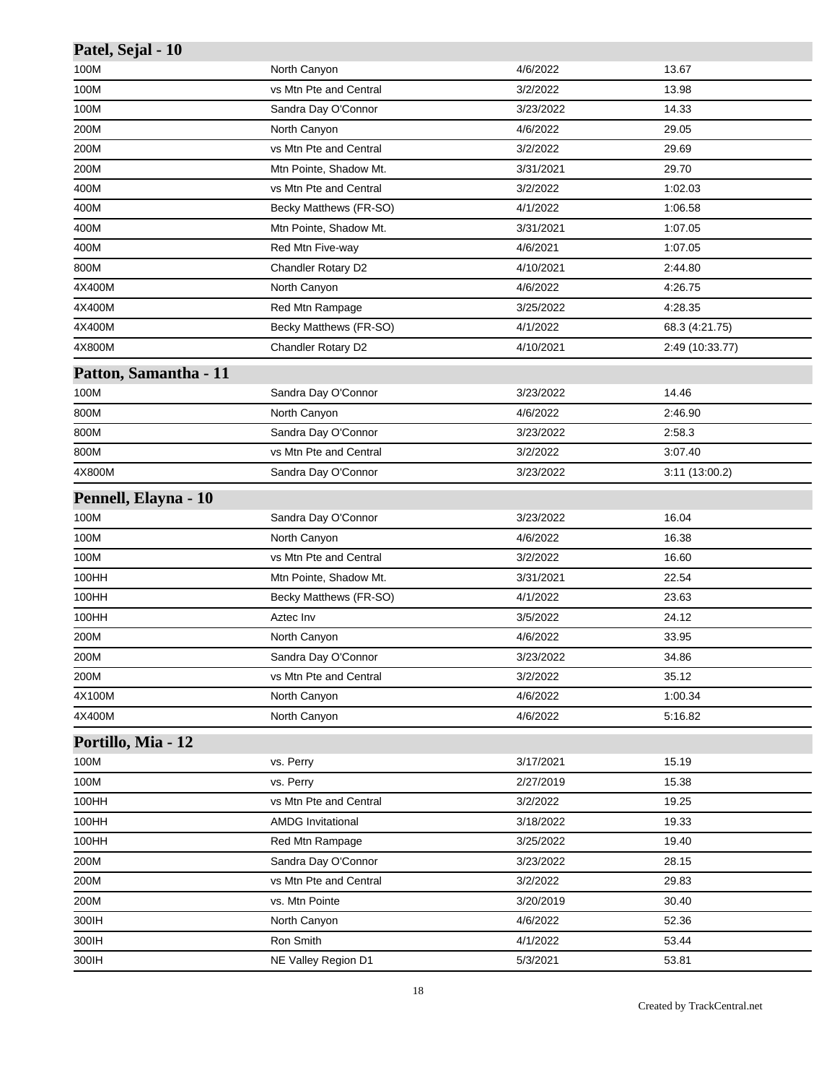| Patel, Sejal - 10     |                          |           |                 |
|-----------------------|--------------------------|-----------|-----------------|
| 100M                  | North Canyon             | 4/6/2022  | 13.67           |
| 100M                  | vs Mtn Pte and Central   | 3/2/2022  | 13.98           |
| 100M                  | Sandra Day O'Connor      | 3/23/2022 | 14.33           |
| 200M                  | North Canyon             | 4/6/2022  | 29.05           |
| 200M                  | vs Mtn Pte and Central   | 3/2/2022  | 29.69           |
| 200M                  | Mtn Pointe, Shadow Mt.   | 3/31/2021 | 29.70           |
| 400M                  | vs Mtn Pte and Central   | 3/2/2022  | 1:02.03         |
| 400M                  | Becky Matthews (FR-SO)   | 4/1/2022  | 1:06.58         |
| 400M                  | Mtn Pointe, Shadow Mt.   | 3/31/2021 | 1:07.05         |
| 400M                  | Red Mtn Five-way         | 4/6/2021  | 1:07.05         |
| 800M                  | Chandler Rotary D2       | 4/10/2021 | 2:44.80         |
| 4X400M                | North Canyon             | 4/6/2022  | 4:26.75         |
| 4X400M                | Red Mtn Rampage          | 3/25/2022 | 4:28.35         |
| 4X400M                | Becky Matthews (FR-SO)   | 4/1/2022  | 68.3 (4:21.75)  |
| 4X800M                | Chandler Rotary D2       | 4/10/2021 | 2:49 (10:33.77) |
| Patton, Samantha - 11 |                          |           |                 |
| 100M                  | Sandra Day O'Connor      | 3/23/2022 | 14.46           |
| 800M                  | North Canyon             | 4/6/2022  | 2:46.90         |
| 800M                  | Sandra Day O'Connor      | 3/23/2022 | 2:58.3          |
| 800M                  | vs Mtn Pte and Central   | 3/2/2022  | 3:07.40         |
| 4X800M                | Sandra Day O'Connor      | 3/23/2022 | 3:11 (13:00.2)  |
| Pennell, Elayna - 10  |                          |           |                 |
| 100M                  | Sandra Day O'Connor      | 3/23/2022 | 16.04           |
| 100M                  | North Canyon             | 4/6/2022  | 16.38           |
| 100M                  | vs Mtn Pte and Central   | 3/2/2022  | 16.60           |
| 100HH                 | Mtn Pointe, Shadow Mt.   | 3/31/2021 | 22.54           |
| 100HH                 | Becky Matthews (FR-SO)   | 4/1/2022  | 23.63           |
| 100HH                 | Aztec Inv                | 3/5/2022  | 24.12           |
| 200M                  | North Canyon             | 4/6/2022  | 33.95           |
| 200M                  | Sandra Day O'Connor      | 3/23/2022 | 34.86           |
| 200M                  | vs Mtn Pte and Central   | 3/2/2022  | 35.12           |
| 4X100M                | North Canyon             | 4/6/2022  | 1:00.34         |
| 4X400M                | North Canyon             | 4/6/2022  | 5:16.82         |
| Portillo, Mia - 12    |                          |           |                 |
| 100M                  | vs. Perry                | 3/17/2021 | 15.19           |
| 100M                  | vs. Perry                | 2/27/2019 | 15.38           |
| 100HH                 | vs Mtn Pte and Central   | 3/2/2022  | 19.25           |
| 100HH                 | <b>AMDG Invitational</b> | 3/18/2022 | 19.33           |
| 100HH                 | Red Mtn Rampage          | 3/25/2022 | 19.40           |
| 200M                  | Sandra Day O'Connor      | 3/23/2022 | 28.15           |
| 200M                  | vs Mtn Pte and Central   | 3/2/2022  | 29.83           |
| 200M                  | vs. Mtn Pointe           | 3/20/2019 | 30.40           |
| 300IH                 | North Canyon             | 4/6/2022  | 52.36           |
| 300IH                 | Ron Smith                | 4/1/2022  | 53.44           |
| 300IH                 | NE Valley Region D1      | 5/3/2021  | 53.81           |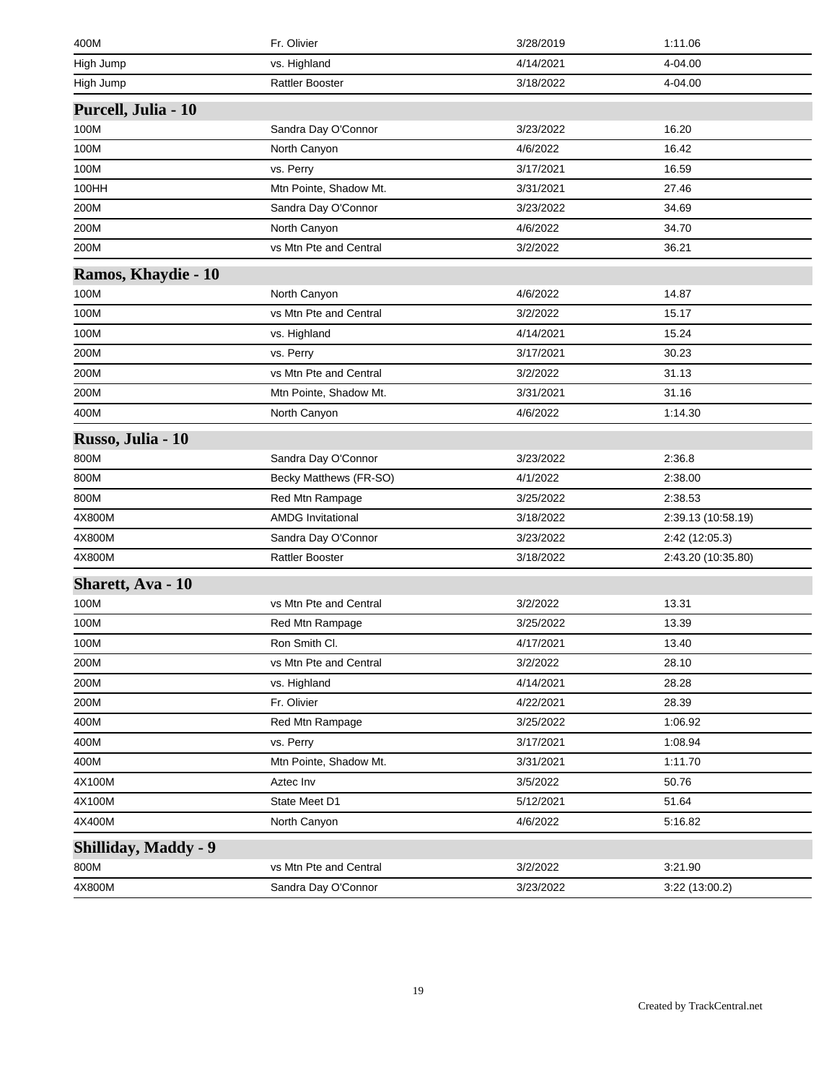| 400M                        | Fr. Olivier              | 3/28/2019 | 1:11.06            |
|-----------------------------|--------------------------|-----------|--------------------|
| High Jump                   | vs. Highland             | 4/14/2021 | 4-04.00            |
| High Jump                   | <b>Rattler Booster</b>   | 3/18/2022 | 4-04.00            |
| Purcell, Julia - 10         |                          |           |                    |
| 100M                        | Sandra Day O'Connor      | 3/23/2022 | 16.20              |
| 100M                        | North Canyon             | 4/6/2022  | 16.42              |
| 100M                        | vs. Perry                | 3/17/2021 | 16.59              |
| 100HH                       | Mtn Pointe, Shadow Mt.   | 3/31/2021 | 27.46              |
| 200M                        | Sandra Day O'Connor      | 3/23/2022 | 34.69              |
| 200M                        | North Canyon             | 4/6/2022  | 34.70              |
| 200M                        | vs Mtn Pte and Central   | 3/2/2022  | 36.21              |
| Ramos, Khaydie - 10         |                          |           |                    |
| 100M                        | North Canyon             | 4/6/2022  | 14.87              |
| 100M                        | vs Mtn Pte and Central   | 3/2/2022  | 15.17              |
| 100M                        | vs. Highland             | 4/14/2021 | 15.24              |
| 200M                        | vs. Perry                | 3/17/2021 | 30.23              |
| 200M                        | vs Mtn Pte and Central   | 3/2/2022  | 31.13              |
| 200M                        | Mtn Pointe, Shadow Mt.   | 3/31/2021 | 31.16              |
| 400M                        | North Canyon             | 4/6/2022  | 1:14.30            |
| Russo, Julia - 10           |                          |           |                    |
| 800M                        | Sandra Day O'Connor      | 3/23/2022 | 2:36.8             |
| 800M                        | Becky Matthews (FR-SO)   | 4/1/2022  | 2:38.00            |
| 800M                        | Red Mtn Rampage          | 3/25/2022 | 2:38.53            |
| 4X800M                      | <b>AMDG Invitational</b> | 3/18/2022 | 2:39.13 (10:58.19) |
| 4X800M                      | Sandra Day O'Connor      | 3/23/2022 | 2:42 (12:05.3)     |
| 4X800M                      | <b>Rattler Booster</b>   | 3/18/2022 | 2:43.20 (10:35.80) |
| <b>Sharett, Ava - 10</b>    |                          |           |                    |
| 100M                        | vs Mtn Pte and Central   | 3/2/2022  | 13.31              |
| 100M                        | Red Mtn Rampage          | 3/25/2022 | 13.39              |
| 100M                        | Ron Smith Cl.            | 4/17/2021 | 13.40              |
| 200M                        | vs Mtn Pte and Central   | 3/2/2022  | 28.10              |
| 200M                        | vs. Highland             | 4/14/2021 | 28.28              |
| 200M                        | Fr. Olivier              | 4/22/2021 | 28.39              |
| 400M                        | Red Mtn Rampage          | 3/25/2022 | 1:06.92            |
| 400M                        | vs. Perry                | 3/17/2021 | 1:08.94            |
| 400M                        | Mtn Pointe, Shadow Mt.   | 3/31/2021 | 1:11.70            |
| 4X100M                      | Aztec Inv                | 3/5/2022  | 50.76              |
| 4X100M                      | State Meet D1            | 5/12/2021 | 51.64              |
| 4X400M                      | North Canyon             | 4/6/2022  | 5:16.82            |
| <b>Shilliday, Maddy - 9</b> |                          |           |                    |
| 800M                        | vs Mtn Pte and Central   | 3/2/2022  | 3:21.90            |
| 4X800M                      | Sandra Day O'Connor      | 3/23/2022 | 3:22 (13:00.2)     |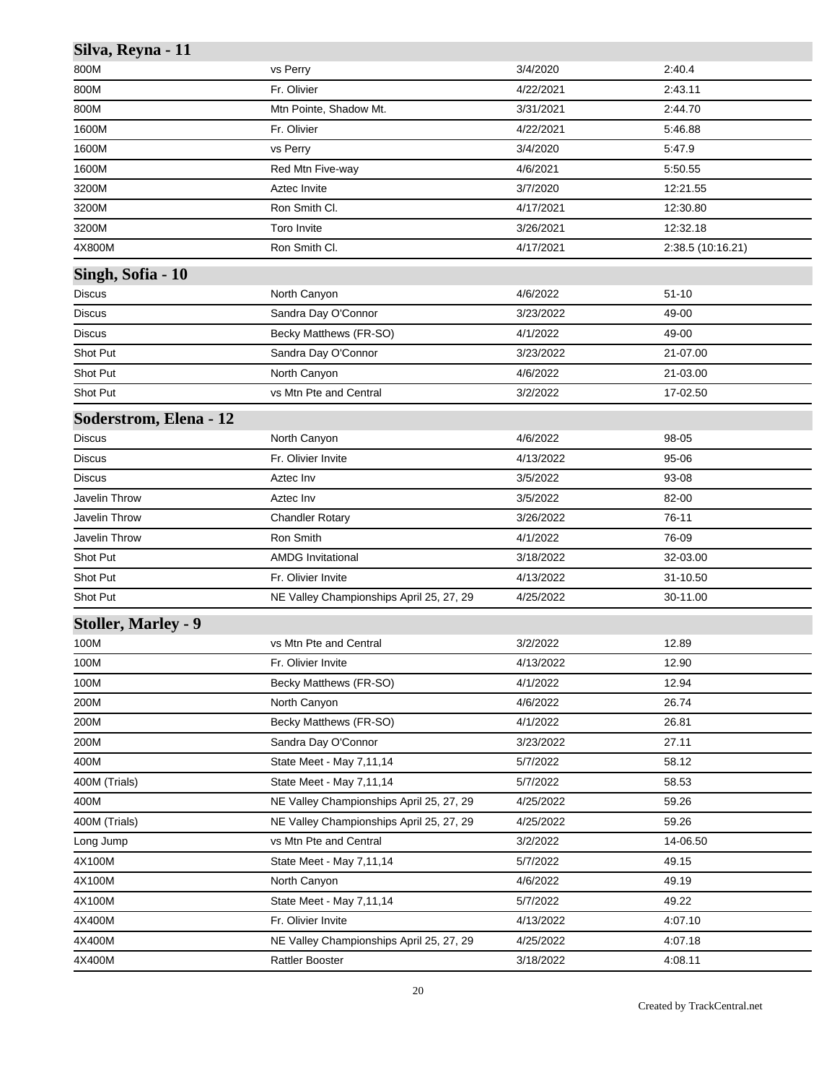| Silva, Reyna - 11             |                                          |           |                   |
|-------------------------------|------------------------------------------|-----------|-------------------|
| 800M                          | vs Perry                                 | 3/4/2020  | 2:40.4            |
| 800M                          | Fr. Olivier                              | 4/22/2021 | 2:43.11           |
| 800M                          | Mtn Pointe, Shadow Mt.                   | 3/31/2021 | 2:44.70           |
| 1600M                         | Fr. Olivier                              | 4/22/2021 | 5:46.88           |
| 1600M                         | vs Perry                                 | 3/4/2020  | 5:47.9            |
| 1600M                         | Red Mtn Five-way                         | 4/6/2021  | 5:50.55           |
| 3200M                         | Aztec Invite                             | 3/7/2020  | 12:21.55          |
| 3200M                         | Ron Smith Cl.                            | 4/17/2021 | 12:30.80          |
| 3200M                         | Toro Invite                              | 3/26/2021 | 12:32.18          |
| 4X800M                        | Ron Smith Cl.                            | 4/17/2021 | 2:38.5 (10:16.21) |
| Singh, Sofia - 10             |                                          |           |                   |
| Discus                        | North Canyon                             | 4/6/2022  | $51 - 10$         |
| Discus                        | Sandra Day O'Connor                      | 3/23/2022 | 49-00             |
| <b>Discus</b>                 | Becky Matthews (FR-SO)                   | 4/1/2022  | 49-00             |
| Shot Put                      | Sandra Day O'Connor                      | 3/23/2022 | 21-07.00          |
| Shot Put                      | North Canyon                             | 4/6/2022  | 21-03.00          |
| Shot Put                      | vs Mtn Pte and Central                   | 3/2/2022  | 17-02.50          |
| <b>Soderstrom, Elena - 12</b> |                                          |           |                   |
| <b>Discus</b>                 | North Canyon                             | 4/6/2022  | 98-05             |
| Discus                        | Fr. Olivier Invite                       | 4/13/2022 | 95-06             |
| <b>Discus</b>                 | Aztec Inv                                | 3/5/2022  | 93-08             |
| Javelin Throw                 | Aztec Inv                                | 3/5/2022  | 82-00             |
| Javelin Throw                 | <b>Chandler Rotary</b>                   | 3/26/2022 | 76-11             |
| Javelin Throw                 | Ron Smith                                | 4/1/2022  | 76-09             |
| Shot Put                      | <b>AMDG</b> Invitational                 | 3/18/2022 | 32-03.00          |
| Shot Put                      | Fr. Olivier Invite                       | 4/13/2022 | 31-10.50          |
| Shot Put                      | NE Valley Championships April 25, 27, 29 | 4/25/2022 | 30-11.00          |
| <b>Stoller, Marley - 9</b>    |                                          |           |                   |
| 100M                          | vs Mtn Pte and Central                   | 3/2/2022  | 12.89             |
| 100M                          | Fr. Olivier Invite                       | 4/13/2022 | 12.90             |
| 100M                          | Becky Matthews (FR-SO)                   | 4/1/2022  | 12.94             |
| 200M                          | North Canyon                             | 4/6/2022  | 26.74             |
| 200M                          | Becky Matthews (FR-SO)                   | 4/1/2022  | 26.81             |
| 200M                          | Sandra Day O'Connor                      | 3/23/2022 | 27.11             |
| 400M                          | State Meet - May 7,11,14                 | 5/7/2022  | 58.12             |
| 400M (Trials)                 | State Meet - May 7,11,14                 | 5/7/2022  | 58.53             |
| 400M                          | NE Valley Championships April 25, 27, 29 | 4/25/2022 | 59.26             |
| 400M (Trials)                 | NE Valley Championships April 25, 27, 29 | 4/25/2022 | 59.26             |
| Long Jump                     | vs Mtn Pte and Central                   | 3/2/2022  | 14-06.50          |
| 4X100M                        | State Meet - May 7,11,14                 | 5/7/2022  | 49.15             |
| 4X100M                        | North Canyon                             | 4/6/2022  | 49.19             |
| 4X100M                        | State Meet - May 7,11,14                 | 5/7/2022  | 49.22             |
| 4X400M                        | Fr. Olivier Invite                       | 4/13/2022 | 4:07.10           |
| 4X400M                        | NE Valley Championships April 25, 27, 29 | 4/25/2022 | 4:07.18           |
| 4X400M                        | <b>Rattler Booster</b>                   | 3/18/2022 | 4:08.11           |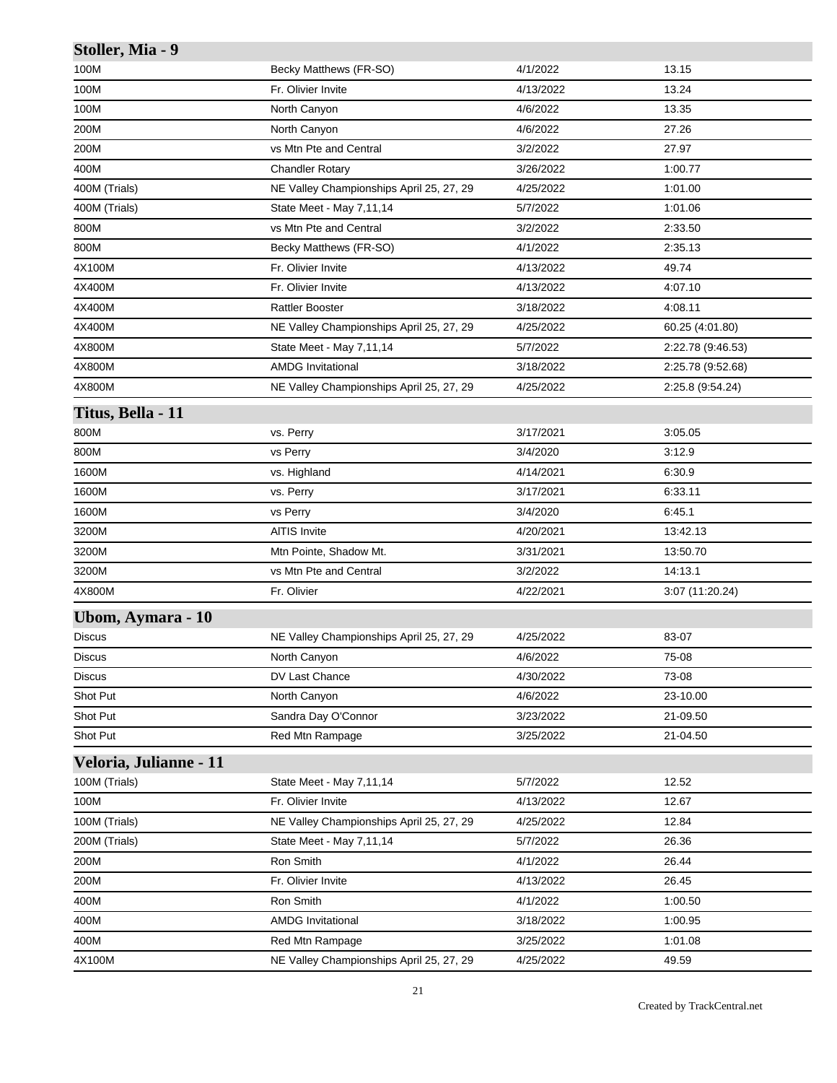| Stoller, Mia - 9       |                                          |           |                   |
|------------------------|------------------------------------------|-----------|-------------------|
| 100M                   | Becky Matthews (FR-SO)                   | 4/1/2022  | 13.15             |
| 100M                   | Fr. Olivier Invite                       | 4/13/2022 | 13.24             |
| 100M                   | North Canyon                             | 4/6/2022  | 13.35             |
| 200M                   | North Canyon                             | 4/6/2022  | 27.26             |
| 200M                   | vs Mtn Pte and Central                   | 3/2/2022  | 27.97             |
| 400M                   | <b>Chandler Rotary</b>                   | 3/26/2022 | 1:00.77           |
| 400M (Trials)          | NE Valley Championships April 25, 27, 29 | 4/25/2022 | 1:01.00           |
| 400M (Trials)          | State Meet - May 7,11,14                 | 5/7/2022  | 1:01.06           |
| 800M                   | vs Mtn Pte and Central                   | 3/2/2022  | 2:33.50           |
| 800M                   | Becky Matthews (FR-SO)                   | 4/1/2022  | 2:35.13           |
| 4X100M                 | Fr. Olivier Invite                       | 4/13/2022 | 49.74             |
| 4X400M                 | Fr. Olivier Invite                       | 4/13/2022 | 4:07.10           |
| 4X400M                 | <b>Rattler Booster</b>                   | 3/18/2022 | 4:08.11           |
| 4X400M                 | NE Valley Championships April 25, 27, 29 | 4/25/2022 | 60.25 (4:01.80)   |
| 4X800M                 | State Meet - May 7,11,14                 | 5/7/2022  | 2:22.78 (9:46.53) |
| 4X800M                 | <b>AMDG</b> Invitational                 | 3/18/2022 | 2:25.78 (9:52.68) |
| 4X800M                 | NE Valley Championships April 25, 27, 29 | 4/25/2022 | 2:25.8 (9:54.24)  |
| Titus, Bella - 11      |                                          |           |                   |
| 800M                   | vs. Perry                                | 3/17/2021 | 3:05.05           |
| 800M                   | vs Perry                                 | 3/4/2020  | 3:12.9            |
| 1600M                  | vs. Highland                             | 4/14/2021 | 6:30.9            |
| 1600M                  | vs. Perry                                | 3/17/2021 | 6:33.11           |
| 1600M                  | vs Perry                                 | 3/4/2020  | 6:45.1            |
| 3200M                  | <b>AITIS Invite</b>                      | 4/20/2021 | 13:42.13          |
| 3200M                  | Mtn Pointe, Shadow Mt.                   | 3/31/2021 | 13:50.70          |
| 3200M                  | vs Mtn Pte and Central                   | 3/2/2022  | 14:13.1           |
| 4X800M                 | Fr. Olivier                              | 4/22/2021 | 3:07 (11:20.24)   |
| Ubom, Aymara - 10      |                                          |           |                   |
| <b>Discus</b>          | NE Valley Championships April 25, 27, 29 | 4/25/2022 | 83-07             |
| <b>Discus</b>          | North Canyon                             | 4/6/2022  | 75-08             |
| <b>Discus</b>          | DV Last Chance                           | 4/30/2022 | 73-08             |
| Shot Put               | North Canyon                             | 4/6/2022  | 23-10.00          |
| Shot Put               | Sandra Day O'Connor                      | 3/23/2022 | 21-09.50          |
| Shot Put               | Red Mtn Rampage                          | 3/25/2022 | 21-04.50          |
| Veloria, Julianne - 11 |                                          |           |                   |
| 100M (Trials)          | State Meet - May 7,11,14                 | 5/7/2022  | 12.52             |
| 100M                   | Fr. Olivier Invite                       | 4/13/2022 | 12.67             |
| 100M (Trials)          | NE Valley Championships April 25, 27, 29 | 4/25/2022 | 12.84             |
| 200M (Trials)          | State Meet - May 7,11,14                 | 5/7/2022  | 26.36             |
| 200M                   | Ron Smith                                | 4/1/2022  | 26.44             |
| 200M                   | Fr. Olivier Invite                       | 4/13/2022 | 26.45             |
| 400M                   | Ron Smith                                | 4/1/2022  | 1:00.50           |
| 400M                   | <b>AMDG Invitational</b>                 | 3/18/2022 | 1:00.95           |
| 400M                   | Red Mtn Rampage                          | 3/25/2022 | 1:01.08           |
| 4X100M                 | NE Valley Championships April 25, 27, 29 | 4/25/2022 | 49.59             |
|                        |                                          |           |                   |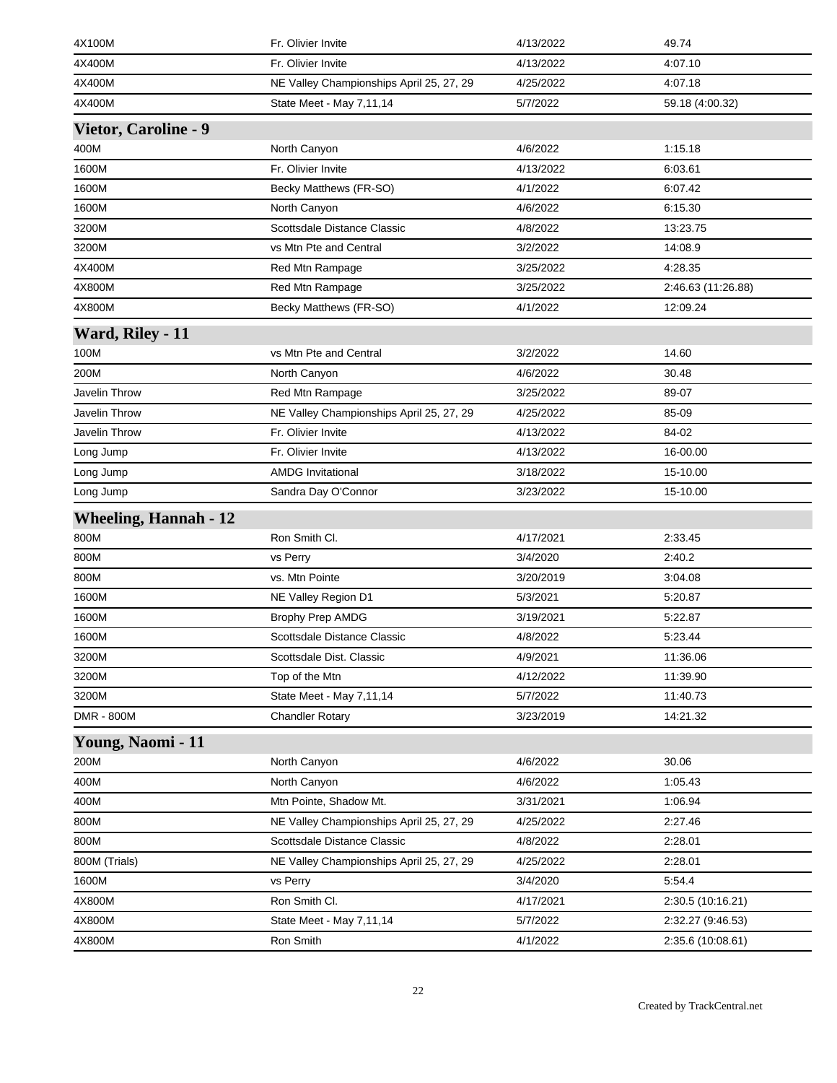| 4X100M                       | Fr. Olivier Invite                       | 4/13/2022 | 49.74              |
|------------------------------|------------------------------------------|-----------|--------------------|
| 4X400M                       | Fr. Olivier Invite                       | 4/13/2022 | 4:07.10            |
| 4X400M                       | NE Valley Championships April 25, 27, 29 | 4/25/2022 | 4:07.18            |
| 4X400M                       | State Meet - May 7,11,14                 | 5/7/2022  | 59.18 (4:00.32)    |
| <b>Vietor, Caroline - 9</b>  |                                          |           |                    |
| 400M                         | North Canyon                             | 4/6/2022  | 1:15.18            |
| 1600M                        | Fr. Olivier Invite                       | 4/13/2022 | 6:03.61            |
| 1600M                        | Becky Matthews (FR-SO)                   | 4/1/2022  | 6:07.42            |
| 1600M                        | North Canyon                             | 4/6/2022  | 6:15.30            |
| 3200M                        | Scottsdale Distance Classic              | 4/8/2022  | 13:23.75           |
| 3200M                        | vs Mtn Pte and Central                   | 3/2/2022  | 14:08.9            |
| 4X400M                       | Red Mtn Rampage                          | 3/25/2022 | 4:28.35            |
| 4X800M                       | Red Mtn Rampage                          | 3/25/2022 | 2:46.63 (11:26.88) |
| 4X800M                       | Becky Matthews (FR-SO)                   | 4/1/2022  | 12:09.24           |
| Ward, Riley - 11             |                                          |           |                    |
| 100M                         | vs Mtn Pte and Central                   | 3/2/2022  | 14.60              |
| 200M                         | North Canyon                             | 4/6/2022  | 30.48              |
| <b>Javelin Throw</b>         | Red Mtn Rampage                          | 3/25/2022 | 89-07              |
| Javelin Throw                | NE Valley Championships April 25, 27, 29 | 4/25/2022 | 85-09              |
| Javelin Throw                | Fr. Olivier Invite                       | 4/13/2022 | 84-02              |
| Long Jump                    | Fr. Olivier Invite                       | 4/13/2022 | 16-00.00           |
| Long Jump                    | <b>AMDG Invitational</b>                 | 3/18/2022 | 15-10.00           |
| Long Jump                    | Sandra Day O'Connor                      | 3/23/2022 | 15-10.00           |
| <b>Wheeling, Hannah - 12</b> |                                          |           |                    |
| 800M                         | Ron Smith Cl.                            | 4/17/2021 | 2:33.45            |
| 800M                         | vs Perry                                 | 3/4/2020  | 2:40.2             |
| 800M                         | vs. Mtn Pointe                           | 3/20/2019 | 3:04.08            |
| 1600M                        | NE Valley Region D1                      | 5/3/2021  | 5:20.87            |
| 1600M                        | <b>Brophy Prep AMDG</b>                  | 3/19/2021 | 5:22.87            |
| 1600M                        | Scottsdale Distance Classic              | 4/8/2022  | 5:23.44            |
| 3200M                        | Scottsdale Dist. Classic                 | 4/9/2021  | 11:36.06           |
| 3200M                        | Top of the Mtn                           | 4/12/2022 | 11:39.90           |
| 3200M                        | State Meet - May 7,11,14                 | 5/7/2022  | 11:40.73           |
| DMR - 800M                   | <b>Chandler Rotary</b>                   | 3/23/2019 | 14:21.32           |
| Young, Naomi - 11            |                                          |           |                    |
| 200M                         | North Canyon                             | 4/6/2022  | 30.06              |
| 400M                         | North Canyon                             | 4/6/2022  | 1:05.43            |
| 400M                         | Mtn Pointe, Shadow Mt.                   | 3/31/2021 | 1:06.94            |
| 800M                         | NE Valley Championships April 25, 27, 29 | 4/25/2022 | 2:27.46            |
| 800M                         | Scottsdale Distance Classic              | 4/8/2022  | 2:28.01            |
| 800M (Trials)                | NE Valley Championships April 25, 27, 29 | 4/25/2022 | 2:28.01            |
| 1600M                        | vs Perry                                 | 3/4/2020  | 5:54.4             |
| 4X800M                       | Ron Smith Cl.                            | 4/17/2021 | 2:30.5 (10:16.21)  |
| 4X800M                       | State Meet - May 7,11,14                 | 5/7/2022  | 2:32.27 (9:46.53)  |
|                              |                                          |           |                    |